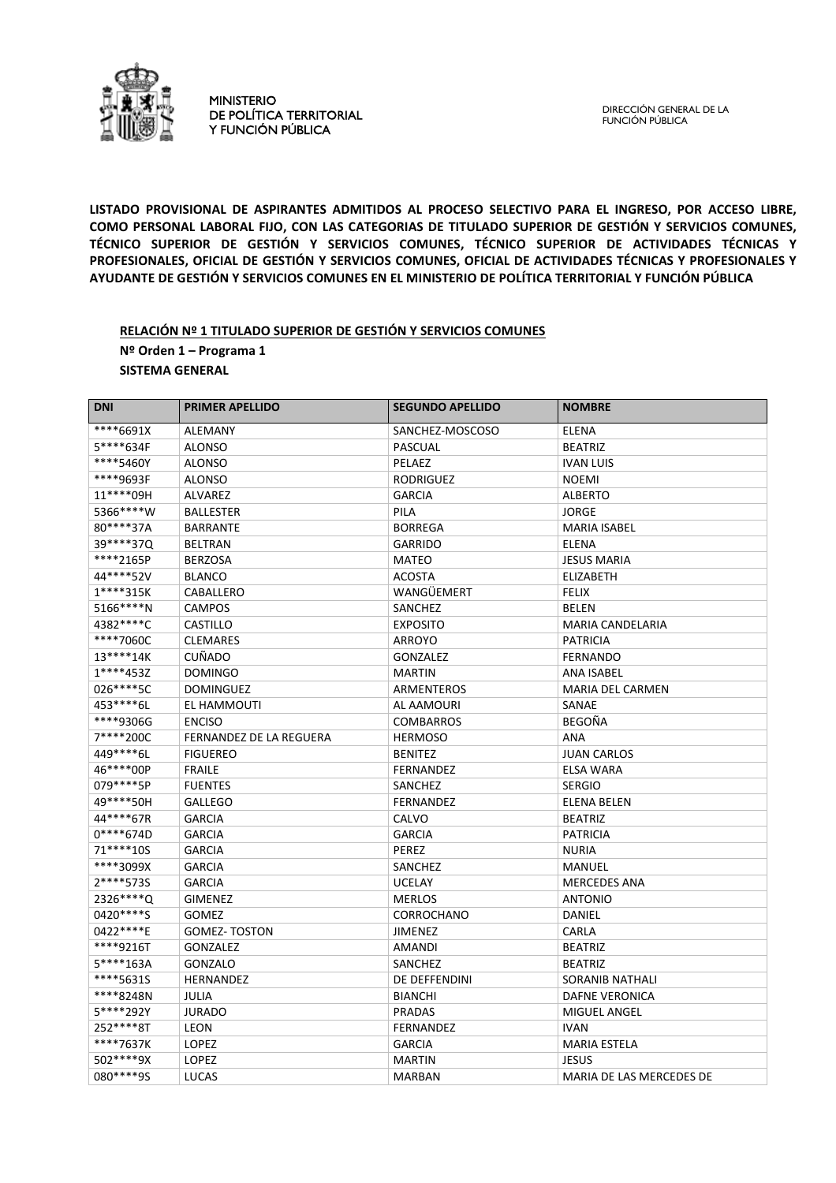

MINISTERIO DE POLÍTICA TERRITORIAL Y FUNCIÓN PÚBLICA

DIRECCIÓN GENERAL DE LA FUNCIÓN PÚBLICA

**LISTADO PROVISIONAL DE ASPIRANTES ADMITIDOS AL PROCESO SELECTIVO PARA EL INGRESO, POR ACCESO LIBRE, COMO PERSONAL LABORAL FIJO, CON LAS CATEGORIAS DE TITULADO SUPERIOR DE GESTIÓN Y SERVICIOS COMUNES, TÉCNICO SUPERIOR DE GESTIÓN Y SERVICIOS COMUNES, TÉCNICO SUPERIOR DE ACTIVIDADES TÉCNICAS Y PROFESIONALES, OFICIAL DE GESTIÓN Y SERVICIOS COMUNES, OFICIAL DE ACTIVIDADES TÉCNICAS Y PROFESIONALES Y AYUDANTE DE GESTIÓN Y SERVICIOS COMUNES EN EL MINISTERIO DE POLÍTICA TERRITORIAL Y FUNCIÓN PÚBLICA** 

#### **RELACIÓN Nº 1 TITULADO SUPERIOR DE GESTIÓN Y SERVICIOS COMUNES Nº Orden 1 – Programa 1 SISTEMA GENERAL**

| <b>DNI</b>  | <b>PRIMER APELLIDO</b>         | <b>SEGUNDO APELLIDO</b> | <b>NOMBRE</b>            |
|-------------|--------------------------------|-------------------------|--------------------------|
| ****6691X   | <b>ALEMANY</b>                 | SANCHEZ-MOSCOSO         | <b>ELENA</b>             |
| 5****634F   | <b>ALONSO</b>                  | PASCUAL                 | <b>BEATRIZ</b>           |
| ****5460Y   | <b>ALONSO</b>                  | <b>PELAEZ</b>           | <b>IVAN LUIS</b>         |
| ****9693F   | <b>ALONSO</b>                  | <b>RODRIGUEZ</b>        | <b>NOEMI</b>             |
| 11****09H   | <b>ALVAREZ</b>                 | <b>GARCIA</b>           | <b>ALBERTO</b>           |
| 5366****W   | <b>BALLESTER</b>               | PILA                    | <b>JORGE</b>             |
| 80****37A   | <b>BARRANTE</b>                | <b>BORREGA</b>          | <b>MARIA ISABEL</b>      |
| 39 **** 37Q | <b>BELTRAN</b>                 | <b>GARRIDO</b>          | <b>ELENA</b>             |
| ****2165P   | <b>BERZOSA</b>                 | <b>MATEO</b>            | <b>JESUS MARIA</b>       |
| 44****52V   | <b>BLANCO</b>                  | <b>ACOSTA</b>           | <b>ELIZABETH</b>         |
| 1****315K   | CABALLERO                      | WANGÜEMERT              | <b>FELIX</b>             |
| 5166****N   | <b>CAMPOS</b>                  | SANCHEZ                 | <b>BELEN</b>             |
| 4382 **** C | <b>CASTILLO</b>                | <b>EXPOSITO</b>         | MARIA CANDELARIA         |
| ****7060C   | <b>CLEMARES</b>                | ARROYO                  | <b>PATRICIA</b>          |
| 13****14K   | <b>CUÑADO</b>                  | <b>GONZALEZ</b>         | <b>FERNANDO</b>          |
| 1****453Z   | <b>DOMINGO</b>                 | <b>MARTIN</b>           | <b>ANA ISABEL</b>        |
| 026****5C   | <b>DOMINGUEZ</b>               | ARMENTEROS              | <b>MARIA DEL CARMEN</b>  |
| 453****6L   | EL HAMMOUTI                    | AL AAMOURI              | SANAE                    |
| ****9306G   | <b>ENCISO</b>                  | <b>COMBARROS</b>        | BEGOÑA                   |
| 7****200C   | <b>FERNANDEZ DE LA REGUERA</b> | <b>HERMOSO</b>          | <b>ANA</b>               |
| 449****6L   | <b>FIGUEREO</b>                | <b>BENITEZ</b>          | <b>JUAN CARLOS</b>       |
| 46****00P   | <b>FRAILE</b>                  | <b>FERNANDEZ</b>        | <b>ELSA WARA</b>         |
| 079 **** 5P | <b>FUENTES</b>                 | SANCHEZ                 | <b>SERGIO</b>            |
| 49****50H   | <b>GALLEGO</b>                 | <b>FERNANDEZ</b>        | <b>ELENA BELEN</b>       |
| 44****67R   | <b>GARCIA</b>                  | CALVO                   | <b>BEATRIZ</b>           |
| $0****674D$ | <b>GARCIA</b>                  | <b>GARCIA</b>           | <b>PATRICIA</b>          |
| 71****10S   | <b>GARCIA</b>                  | PEREZ                   | <b>NURIA</b>             |
| ****3099X   | <b>GARCIA</b>                  | SANCHEZ                 | MANUEL                   |
| 2****573S   | <b>GARCIA</b>                  | <b>UCELAY</b>           | <b>MERCEDES ANA</b>      |
| 2326****Q   | <b>GIMENEZ</b>                 | <b>MERLOS</b>           | <b>ANTONIO</b>           |
| 0420****S   | <b>GOMEZ</b>                   | <b>CORROCHANO</b>       | DANIEL                   |
| 0422 **** E | <b>GOMEZ-TOSTON</b>            | <b>JIMENEZ</b>          | <b>CARLA</b>             |
| ****9216T   | <b>GONZALEZ</b>                | <b>AMANDI</b>           | <b>BEATRIZ</b>           |
| 5****163A   | <b>GONZALO</b>                 | SANCHEZ                 | <b>BEATRIZ</b>           |
| ****5631S   | <b>HERNANDEZ</b>               | DE DEFFENDINI           | SORANIB NATHALI          |
| ****8248N   | <b>JULIA</b>                   | <b>BIANCHI</b>          | <b>DAFNE VERONICA</b>    |
| 5****292Y   | <b>JURADO</b>                  | <b>PRADAS</b>           | <b>MIGUEL ANGEL</b>      |
| 252****8T   | <b>LEON</b>                    | <b>FERNANDEZ</b>        | <b>IVAN</b>              |
| ****7637K   | <b>LOPEZ</b>                   | <b>GARCIA</b>           | <b>MARIA ESTELA</b>      |
| 502****9X   | <b>LOPEZ</b>                   | <b>MARTIN</b>           | <b>JESUS</b>             |
| 080****9S   | <b>LUCAS</b>                   | <b>MARBAN</b>           | MARIA DE LAS MERCEDES DE |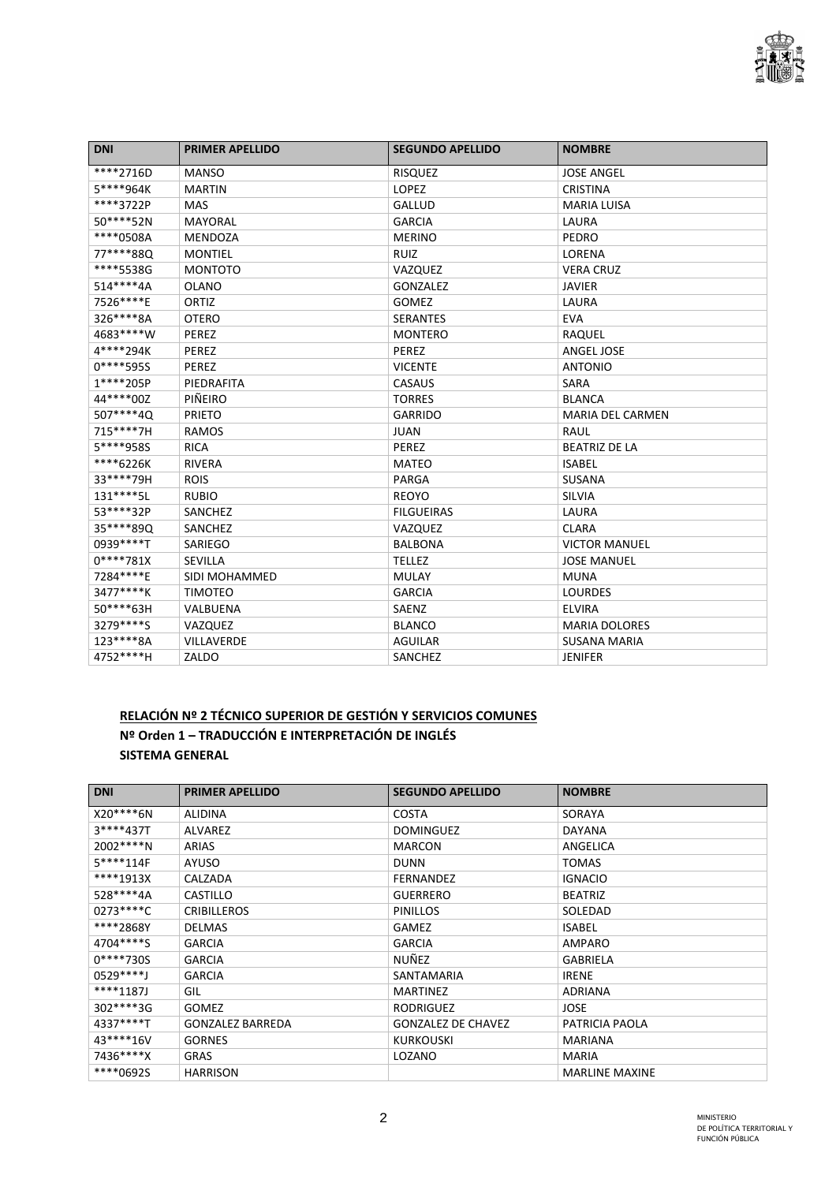

| <b>DNI</b>  | <b>PRIMER APELLIDO</b> | <b>SEGUNDO APELLIDO</b> | <b>NOMBRE</b>           |
|-------------|------------------------|-------------------------|-------------------------|
| ****2716D   | <b>MANSO</b>           | <b>RISQUEZ</b>          | <b>JOSE ANGEL</b>       |
| 5****964K   | <b>MARTIN</b>          | <b>LOPEZ</b>            | <b>CRISTINA</b>         |
| ****3722P   | <b>MAS</b>             | <b>GALLUD</b>           | <b>MARIA LUISA</b>      |
| 50****52N   | <b>MAYORAL</b>         | <b>GARCIA</b>           | LAURA                   |
| ****0508A   | <b>MENDOZA</b>         | <b>MERINO</b>           | PEDRO                   |
| 77****88Q   | <b>MONTIEL</b>         | <b>RUIZ</b>             | LORENA                  |
| ****5538G   | <b>MONTOTO</b>         | VAZQUEZ                 | <b>VERA CRUZ</b>        |
| 514****4A   | <b>OLANO</b>           | GONZALEZ                | <b>JAVIER</b>           |
| 7526****E   | ORTIZ                  | <b>GOMEZ</b>            | LAURA                   |
| 326****8A   | <b>OTERO</b>           | <b>SERANTES</b>         | <b>EVA</b>              |
| 4683****W   | PEREZ                  | <b>MONTERO</b>          | RAQUEL                  |
| 4****294K   | PEREZ                  | PEREZ                   | ANGEL JOSE              |
| $0****595S$ | PEREZ                  | <b>VICENTE</b>          | <b>ANTONIO</b>          |
| 1****205P   | PIEDRAFITA             | CASAUS                  | <b>SARA</b>             |
| 44****00Z   | PIÑEIRO                | <b>TORRES</b>           | <b>BLANCA</b>           |
| 507****4Q   | <b>PRIETO</b>          | <b>GARRIDO</b>          | <b>MARIA DEL CARMEN</b> |
| 715****7H   | <b>RAMOS</b>           | <b>JUAN</b>             | <b>RAUL</b>             |
| 5****958S   | <b>RICA</b>            | PEREZ                   | <b>BEATRIZ DE LA</b>    |
| ****6226K   | <b>RIVERA</b>          | <b>MATEO</b>            | <b>ISABEL</b>           |
| 33****79H   | <b>ROIS</b>            | PARGA                   | <b>SUSANA</b>           |
| 131****5L   | <b>RUBIO</b>           | <b>REOYO</b>            | <b>SILVIA</b>           |
| 53 **** 32P | SANCHEZ                | <b>FILGUEIRAS</b>       | LAURA                   |
| 35****89Q   | SANCHEZ                | VAZQUEZ                 | <b>CLARA</b>            |
| 0939****T   | SARIEGO                | <b>BALBONA</b>          | <b>VICTOR MANUEL</b>    |
| $0****781X$ | <b>SEVILLA</b>         | <b>TELLEZ</b>           | <b>JOSE MANUEL</b>      |
| 7284****E   | SIDI MOHAMMED          | <b>MULAY</b>            | <b>MUNA</b>             |
| 3477****K   | <b>TIMOTEO</b>         | <b>GARCIA</b>           | <b>LOURDES</b>          |
| 50****63H   | VALBUENA               | SAENZ                   | <b>ELVIRA</b>           |
| 3279****S   | VAZQUEZ                | <b>BLANCO</b>           | <b>MARIA DOLORES</b>    |
| 123****8A   | <b>VILLAVERDE</b>      | <b>AGUILAR</b>          | <b>SUSANA MARIA</b>     |
| 4752 **** H | ZALDO                  | SANCHEZ                 | <b>JENIFER</b>          |

# **RELACIÓN Nº 2 TÉCNICO SUPERIOR DE GESTIÓN Y SERVICIOS COMUNES Nº Orden 1 – TRADUCCIÓN E INTERPRETACIÓN DE INGLÉS SISTEMA GENERAL**

| <b>DNI</b>  | <b>PRIMER APELLIDO</b>  | <b>SEGUNDO APELLIDO</b>   | <b>NOMBRE</b>         |
|-------------|-------------------------|---------------------------|-----------------------|
| X20****6N   | ALIDINA                 | <b>COSTA</b>              | SORAYA                |
| 3****437T   | ALVAREZ                 | <b>DOMINGUEZ</b>          | <b>DAYANA</b>         |
| 2002****N   | ARIAS                   | <b>MARCON</b>             | ANGELICA              |
| 5****114F   | AYUSO                   | <b>DUNN</b>               | <b>TOMAS</b>          |
| ****1913X   | CALZADA                 | <b>FERNANDEZ</b>          | <b>IGNACIO</b>        |
| 528****4A   | CASTILLO                | <b>GUERRERO</b>           | <b>BEATRIZ</b>        |
| $0273***C$  | <b>CRIBILLEROS</b>      | <b>PINILLOS</b>           | SOLEDAD               |
| ****2868Y   | <b>DELMAS</b>           | <b>GAMEZ</b>              | <b>ISABEL</b>         |
| 4704****S   | <b>GARCIA</b>           | <b>GARCIA</b>             | AMPARO                |
| $0****730S$ | <b>GARCIA</b>           | NUÑEZ                     | GABRIELA              |
| $0529***$   | <b>GARCIA</b>           | SANTAMARIA                | <b>IRENE</b>          |
| ****1187J   | GIL                     | <b>MARTINEZ</b>           | ADRIANA               |
| 302 **** 3G | <b>GOMEZ</b>            | <b>RODRIGUEZ</b>          | <b>JOSE</b>           |
| 4337****T   | <b>GONZALEZ BARREDA</b> | <b>GONZALEZ DE CHAVEZ</b> | PATRICIA PAOLA        |
| 43****16V   | <b>GORNES</b>           | KURKOUSKI                 | <b>MARIANA</b>        |
| 7436****X   | GRAS                    | LOZANO                    | <b>MARIA</b>          |
| ****0692S   | <b>HARRISON</b>         |                           | <b>MARLINE MAXINE</b> |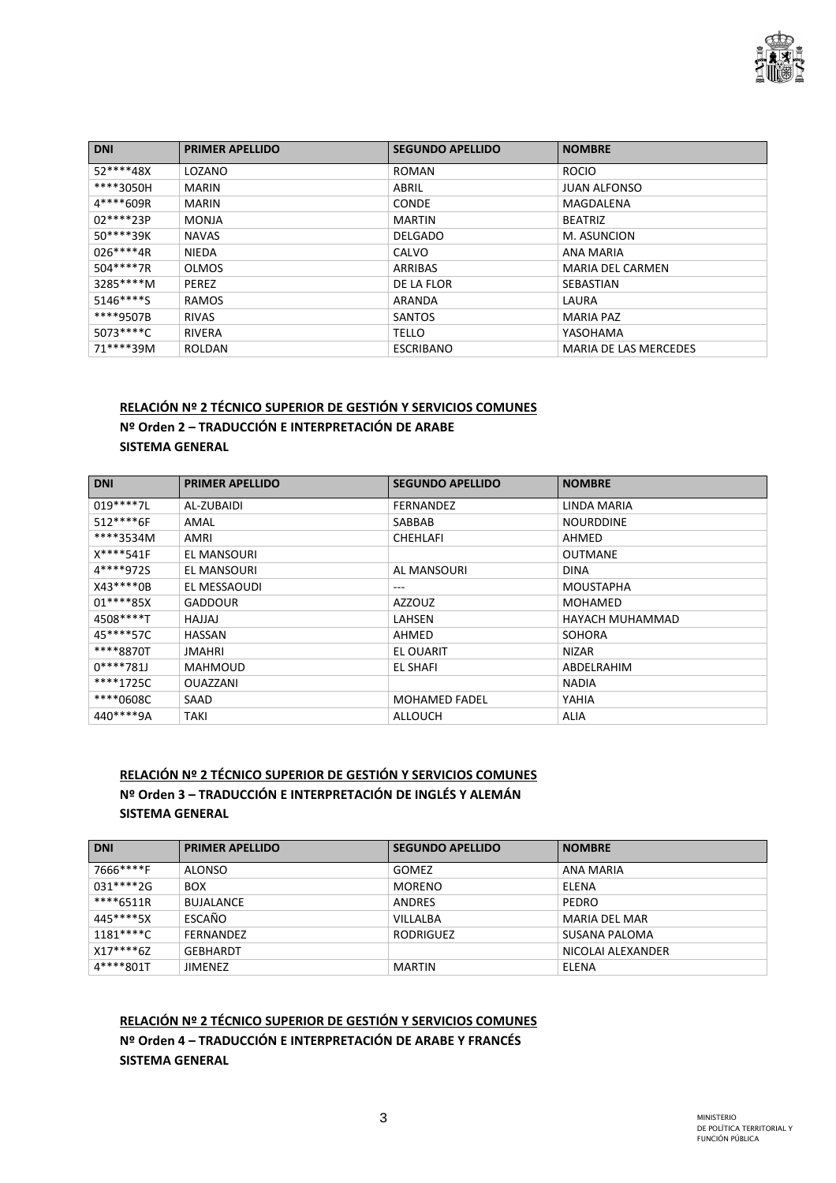

| <b>DNI</b>  | <b>PRIMER APELLIDO</b> | <b>SEGUNDO APELLIDO</b> | <b>NOMBRE</b>                |
|-------------|------------------------|-------------------------|------------------------------|
| 52****48X   | LOZANO                 | <b>ROMAN</b>            | <b>ROCIO</b>                 |
| ****3050H   | <b>MARIN</b>           | ABRIL                   | <b>JUAN ALFONSO</b>          |
| 4****609R   | <b>MARIN</b>           | <b>CONDE</b>            | MAGDALENA                    |
| 02****23P   | <b>MONJA</b>           | <b>MARTIN</b>           | <b>BEATRIZ</b>               |
| $50***39K$  | <b>NAVAS</b>           | <b>DELGADO</b>          | M. ASUNCION                  |
| $026****4R$ | <b>NIEDA</b>           | CALVO                   | ANA MARIA                    |
| 504****7R   | <b>OLMOS</b>           | ARRIBAS                 | <b>MARIA DEL CARMEN</b>      |
| 3285****M   | <b>PEREZ</b>           | DE LA FLOR              | SEBASTIAN                    |
| $5146***$   | <b>RAMOS</b>           | ARANDA                  | LAURA                        |
| ****9507B   | <b>RIVAS</b>           | <b>SANTOS</b>           | <b>MARIA PAZ</b>             |
| $5073***C$  | <b>RIVERA</b>          | <b>TELLO</b>            | YASOHAMA                     |
| 71****39M   | <b>ROLDAN</b>          | <b>ESCRIBANO</b>        | <b>MARIA DE LAS MERCEDES</b> |

#### **RELACIÓN Nº 2 TÉCNICO SUPERIOR DE GESTIÓN Y SERVICIOS COMUNES**

**Nº Orden 2 – TRADUCCIÓN E INTERPRETACIÓN DE ARABE SISTEMA GENERAL** 

| <b>DNI</b> | <b>PRIMER APELLIDO</b> | <b>SEGUNDO APELLIDO</b> | <b>NOMBRE</b>    |
|------------|------------------------|-------------------------|------------------|
| $019***7L$ | AL-ZUBAIDI             | <b>FERNANDEZ</b>        | LINDA MARIA      |
| 512****6F  | AMAL                   | SABBAB                  | <b>NOURDDINE</b> |
| ****3534M  | AMRI                   | <b>CHEHLAFI</b>         | AHMED            |
| X****541F  | EL MANSOURI            |                         | <b>OUTMANE</b>   |
| 4****972S  | EL MANSOURI            | AL MANSOURI             | <b>DINA</b>      |
| X43****0B  | EL MESSAOUDI           | ---                     | MOUSTAPHA        |
| $01***85X$ | <b>GADDOUR</b>         | <b>AZZOUZ</b>           | <b>MOHAMED</b>   |
| 4508****T  | LALLAH                 | LAHSEN                  | HAYACH MUHAMMAD  |
| 45****57C  | HASSAN                 | AHMED                   | <b>SOHORA</b>    |
| ****8870T  | JMAHRI                 | EL OUARIT               | <b>NIZAR</b>     |
| $0***781J$ | <b>MAHMOUD</b>         | <b>EL SHAFI</b>         | ABDELRAHIM       |
| ****1725C  | <b>OUAZZANI</b>        |                         | <b>NADIA</b>     |
| ****0608C  | SAAD                   | <b>MOHAMED FADEL</b>    | YAHIA            |
| 440****9A  | TAKI                   | ALLOUCH                 | <b>ALIA</b>      |

#### **RELACIÓN Nº 2 TÉCNICO SUPERIOR DE GESTIÓN Y SERVICIOS COMUNES Nº Orden 3 – TRADUCCIÓN E INTERPRETACIÓN DE INGLÉS Y ALEMÁN SISTEMA GENERAL**

| <b>DNI</b> | <b>PRIMER APELLIDO</b> | <b>SEGUNDO APELLIDO</b> | <b>NOMBRE</b>        |
|------------|------------------------|-------------------------|----------------------|
| 7666****F  | ALONSO                 | <b>GOMEZ</b>            | ANA MARIA            |
| 031****2G  | <b>BOX</b>             | <b>MORENO</b>           | ELENA                |
| ****6511R  | <b>BUJALANCE</b>       | <b>ANDRES</b>           | PEDRO                |
| 445****5X  | ESCAÑO                 | VILLALBA                | <b>MARIA DEL MAR</b> |
| 1181****C  | <b>FFRNANDF7</b>       | <b>RODRIGUEZ</b>        | SUSANA PALOMA        |
| $X17***6Z$ | GEBHARDT               |                         | NICOLAI ALEXANDER    |
| 4****801T  | <b>JIMENEZ</b>         | <b>MARTIN</b>           | ELENA                |

**RELACIÓN Nº 2 TÉCNICO SUPERIOR DE GESTIÓN Y SERVICIOS COMUNES Nº Orden 4 – TRADUCCIÓN E INTERPRETACIÓN DE ARABE Y FRANCÉS SISTEMA GENERAL**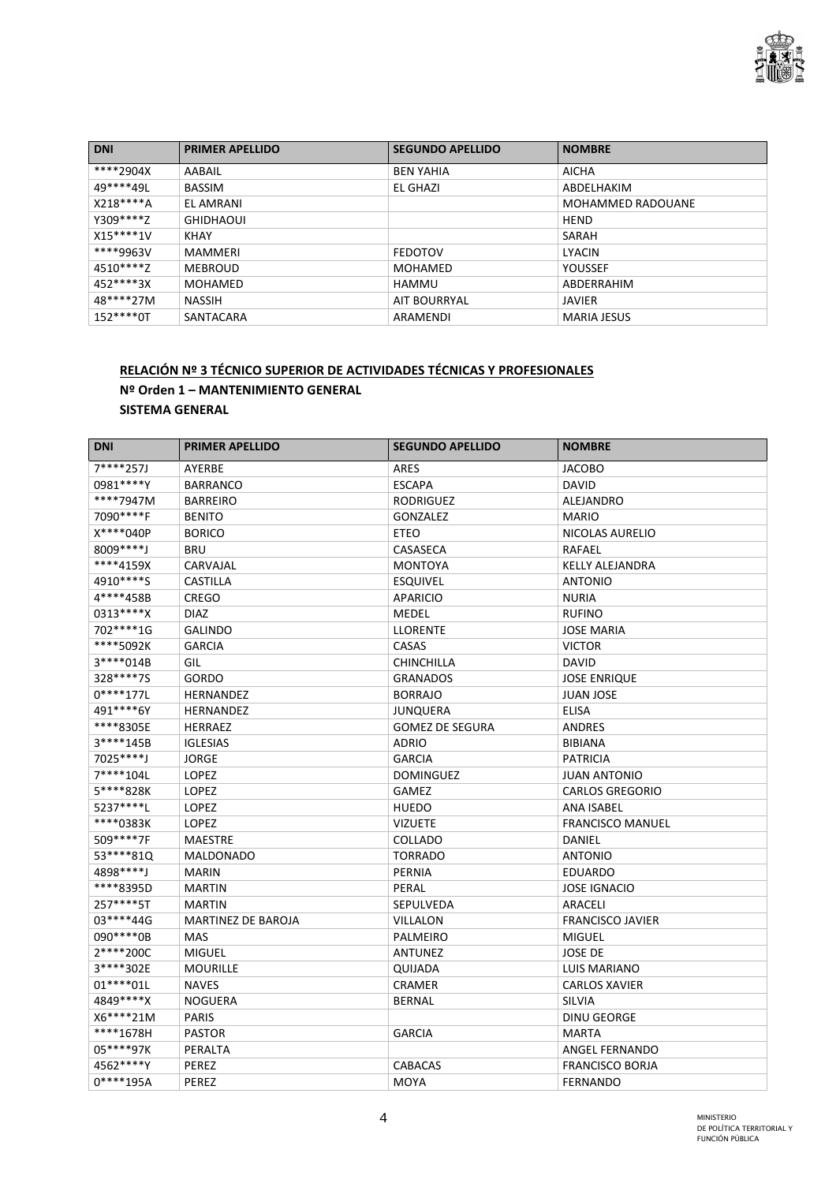

| <b>DNI</b>  | <b>PRIMER APELLIDO</b> | <b>SEGUNDO APELLIDO</b> | <b>NOMBRE</b>            |
|-------------|------------------------|-------------------------|--------------------------|
| ****2904X   | AABAIL                 | <b>BEN YAHIA</b>        | <b>AICHA</b>             |
| 49****49L   | <b>BASSIM</b>          | EL GHAZI                | ABDELHAKIM               |
| $X218***A$  | EL AMRANI              |                         | <b>MOHAMMED RADOUANE</b> |
| Y309 **** Z | <b>GHIDHAOUI</b>       |                         | <b>HEND</b>              |
| $X15***1V$  | KHAY                   |                         | SARAH                    |
| ****9963V   | MAMMERI                | <b>FEDOTOV</b>          | LYACIN                   |
| 4510****Z   | MEBROUD                | MOHAMED                 | <b>YOUSSEF</b>           |
| 452****3X   | MOHAMED                | HAMMU                   | ABDERRAHIM               |
| 48****27M   | <b>NASSIH</b>          | AIT BOURRYAL            | <b>JAVIER</b>            |
| $152***0T$  | SANTACARA              | ARAMENDI                | <b>MARIA JESUS</b>       |

## **RELACIÓN Nº 3 TÉCNICO SUPERIOR DE ACTIVIDADES TÉCNICAS Y PROFESIONALES Nº Orden 1 – MANTENIMIENTO GENERAL SISTEMA GENERAL**

| <b>DNI</b>  | <b>PRIMER APELLIDO</b>    | <b>SEGUNDO APELLIDO</b> | <b>NOMBRE</b>           |
|-------------|---------------------------|-------------------------|-------------------------|
| 7****257J   | AYERBE                    | <b>ARES</b>             | <b>JACOBO</b>           |
| 0981****Y   | <b>BARRANCO</b>           | <b>ESCAPA</b>           | <b>DAVID</b>            |
| ****7947M   | <b>BARREIRO</b>           | <b>RODRIGUEZ</b>        | ALEJANDRO               |
| 7090****F   | <b>BENITO</b>             | <b>GONZALEZ</b>         | <b>MARIO</b>            |
| X****040P   | <b>BORICO</b>             | ETEO                    | NICOLAS AURELIO         |
| 8009****J   | <b>BRU</b>                | CASASECA                | RAFAEL                  |
| ****4159X   | CARVAJAL                  | <b>MONTOYA</b>          | <b>KELLY ALEJANDRA</b>  |
| 4910****S   | <b>CASTILLA</b>           | <b>ESQUIVEL</b>         | <b>ANTONIO</b>          |
| 4****458B   | CREGO                     | <b>APARICIO</b>         | <b>NURIA</b>            |
| 0313****X   | <b>DIAZ</b>               | MEDEL                   | <b>RUFINO</b>           |
| 702 **** 1G | <b>GALINDO</b>            | <b>LLORENTE</b>         | <b>JOSE MARIA</b>       |
| ****5092K   | <b>GARCIA</b>             | CASAS                   | <b>VICTOR</b>           |
| 3****014B   | GIL                       | CHINCHILLA              | <b>DAVID</b>            |
| 328****7S   | GORDO                     | <b>GRANADOS</b>         | <b>JOSE ENRIQUE</b>     |
| $0****177L$ | <b>HERNANDEZ</b>          | <b>BORRAJO</b>          | <b>JUAN JOSE</b>        |
| 491****6Y   | <b>HERNANDEZ</b>          | JUNQUERA                | <b>ELISA</b>            |
| ****8305E   | <b>HERRAEZ</b>            | <b>GOMEZ DE SEGURA</b>  | <b>ANDRES</b>           |
| 3****145B   | <b>IGLESIAS</b>           | <b>ADRIO</b>            | <b>BIBIANA</b>          |
| 7025****J   | <b>JORGE</b>              | <b>GARCIA</b>           | <b>PATRICIA</b>         |
| 7****104L   | LOPEZ                     | <b>DOMINGUEZ</b>        | <b>JUAN ANTONIO</b>     |
| 5****828K   | LOPEZ                     | <b>GAMEZ</b>            | <b>CARLOS GREGORIO</b>  |
| 5237****L   | LOPEZ                     | <b>HUEDO</b>            | <b>ANA ISABEL</b>       |
| ****0383K   | LOPEZ                     | <b>VIZUETE</b>          | <b>FRANCISCO MANUEL</b> |
| 509****7F   | <b>MAESTRE</b>            | COLLADO                 | DANIEL                  |
| 53****81Q   | <b>MALDONADO</b>          | <b>TORRADO</b>          | <b>ANTONIO</b>          |
| 4898****J   | <b>MARIN</b>              | <b>PERNIA</b>           | <b>EDUARDO</b>          |
| ****8395D   | <b>MARTIN</b>             | PERAL                   | <b>JOSE IGNACIO</b>     |
| 257****5T   | <b>MARTIN</b>             | SEPULVEDA               | ARACELI                 |
| 03 **** 44G | <b>MARTINEZ DE BAROJA</b> | <b>VILLALON</b>         | <b>FRANCISCO JAVIER</b> |
| 090 **** 0B | <b>MAS</b>                | <b>PALMEIRO</b>         | <b>MIGUEL</b>           |
| 2****200C   | <b>MIGUEL</b>             | <b>ANTUNEZ</b>          | <b>JOSE DE</b>          |
| 3****302E   | <b>MOURILLE</b>           | QUIJADA                 | <b>LUIS MARIANO</b>     |
| $01****01L$ | <b>NAVES</b>              | <b>CRAMER</b>           | <b>CARLOS XAVIER</b>    |
| 4849****X   | <b>NOGUERA</b>            | <b>BERNAL</b>           | <b>SILVIA</b>           |
| X6****21M   | <b>PARIS</b>              |                         | <b>DINU GEORGE</b>      |
| ****1678H   | <b>PASTOR</b>             | <b>GARCIA</b>           | <b>MARTA</b>            |
| 05****97K   | PERALTA                   |                         | <b>ANGEL FERNANDO</b>   |
| 4562****Y   | PEREZ                     | <b>CABACAS</b>          | <b>FRANCISCO BORJA</b>  |
| $0****195A$ | PEREZ                     | MOYA                    | <b>FERNANDO</b>         |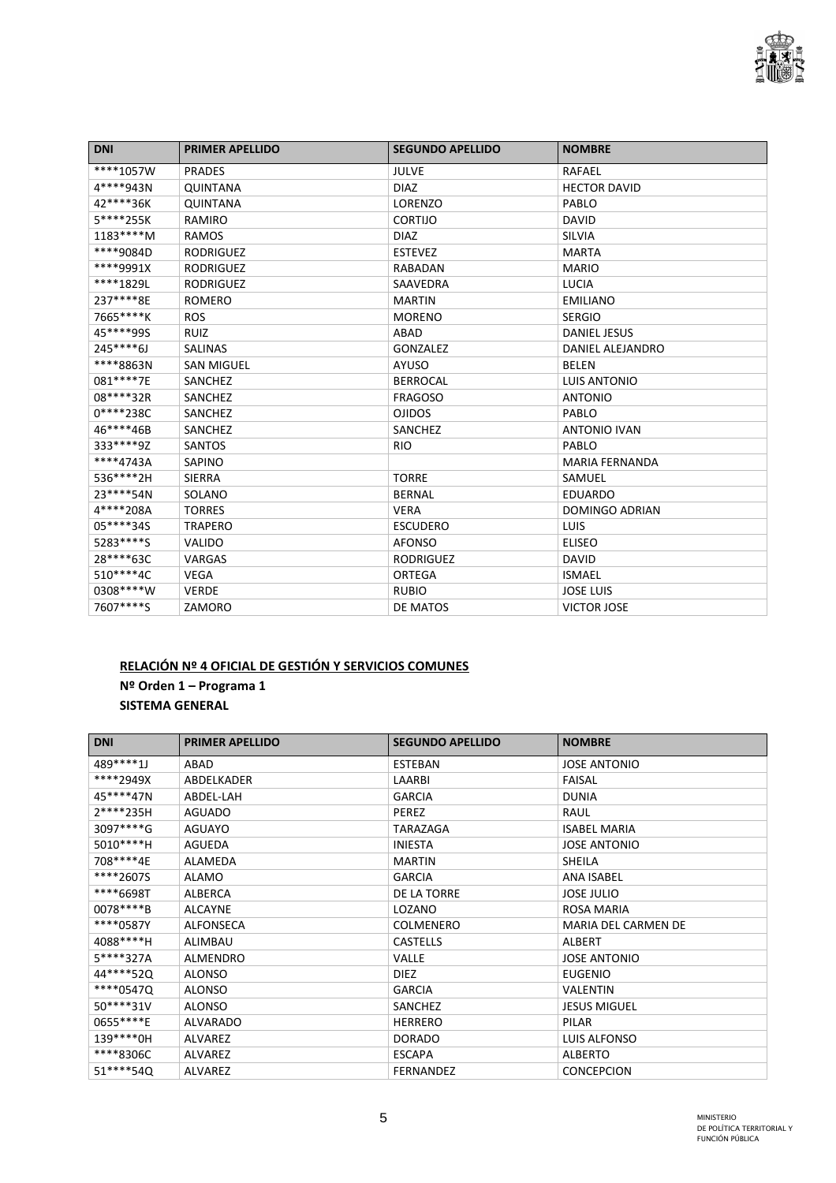

| <b>DNI</b> | <b>PRIMER APELLIDO</b> | <b>SEGUNDO APELLIDO</b> | <b>NOMBRE</b>         |
|------------|------------------------|-------------------------|-----------------------|
| ****1057W  | <b>PRADES</b>          | <b>JULVE</b>            | RAFAEL                |
| 4****943N  | <b>QUINTANA</b>        | <b>DIAZ</b>             | <b>HECTOR DAVID</b>   |
| 42****36K  | <b>QUINTANA</b>        | <b>LORENZO</b>          | PABLO                 |
| 5****255K  | RAMIRO                 | CORTIJO                 | <b>DAVID</b>          |
| $1183***M$ | <b>RAMOS</b>           | <b>DIAZ</b>             | SILVIA                |
| ****9084D  | <b>RODRIGUEZ</b>       | <b>ESTEVEZ</b>          | <b>MARTA</b>          |
| ****9991X  | <b>RODRIGUEZ</b>       | <b>RABADAN</b>          | <b>MARIO</b>          |
| ****1829L  | <b>RODRIGUEZ</b>       | SAAVEDRA                | <b>LUCIA</b>          |
| 237****8E  | <b>ROMERO</b>          | <b>MARTIN</b>           | <b>EMILIANO</b>       |
| 7665****K  | <b>ROS</b>             | <b>MORENO</b>           | <b>SERGIO</b>         |
| 45****99S  | <b>RUIZ</b>            | ABAD                    | <b>DANIEL JESUS</b>   |
| $245***6J$ | <b>SALINAS</b>         | GONZALEZ                | DANIEL ALEJANDRO      |
| ****8863N  | <b>SAN MIGUEL</b>      | <b>AYUSO</b>            | <b>BELEN</b>          |
| 081****7E  | SANCHEZ                | <b>BERROCAL</b>         | <b>LUIS ANTONIO</b>   |
| 08****32R  | SANCHEZ                | <b>FRAGOSO</b>          | <b>ANTONIO</b>        |
| 0****238C  | SANCHEZ                | <b>OJIDOS</b>           | PABLO                 |
| 46****46B  | SANCHEZ                | SANCHEZ                 | <b>ANTONIO IVAN</b>   |
| 333****9Z  | SANTOS                 | <b>RIO</b>              | PABLO                 |
| ****4743A  | SAPINO                 |                         | <b>MARIA FERNANDA</b> |
| 536****2H  | <b>SIERRA</b>          | <b>TORRE</b>            | SAMUEL                |
| 23****54N  | SOLANO                 | <b>BERNAL</b>           | <b>EDUARDO</b>        |
| 4****208A  | <b>TORRES</b>          | <b>VERA</b>             | <b>DOMINGO ADRIAN</b> |
| 05****34S  | <b>TRAPERO</b>         | <b>ESCUDERO</b>         | LUIS                  |
| 5283****S  | <b>VALIDO</b>          | <b>AFONSO</b>           | <b>ELISEO</b>         |
| 28****63C  | VARGAS                 | <b>RODRIGUEZ</b>        | <b>DAVID</b>          |
| 510****4C  | <b>VEGA</b>            | ORTEGA                  | <b>ISMAEL</b>         |
| 0308****W  | <b>VERDE</b>           | <b>RUBIO</b>            | <b>JOSE LUIS</b>      |
| 7607****S  | ZAMORO                 | DE MATOS                | <b>VICTOR JOSE</b>    |

# **RELACIÓN Nº 4 OFICIAL DE GESTIÓN Y SERVICIOS COMUNES Nº Orden 1 – Programa 1 SISTEMA GENERAL**

| <b>DNI</b>  | <b>PRIMER APELLIDO</b> | <b>SEGUNDO APELLIDO</b> | <b>NOMBRE</b>              |
|-------------|------------------------|-------------------------|----------------------------|
| 489****1J   | ABAD                   | <b>ESTEBAN</b>          | <b>JOSE ANTONIO</b>        |
| ****2949X   | ABDELKADER             | LAARBI                  | <b>FAISAL</b>              |
| 45****47N   | ABDEL-LAH              | <b>GARCIA</b>           | <b>DUNIA</b>               |
| 2****235H   | <b>AGUADO</b>          | <b>PEREZ</b>            | RAUL                       |
| 3097****G   | <b>AGUAYO</b>          | TARAZAGA                | <b>ISABEL MARIA</b>        |
| 5010****H   | <b>AGUEDA</b>          | <b>INIESTA</b>          | <b>JOSE ANTONIO</b>        |
| 708****4E   | ALAMEDA                | <b>MARTIN</b>           | SHEILA                     |
| ****2607S   | ALAMO                  | <b>GARCIA</b>           | <b>ANA ISABEL</b>          |
| ****6698T   | ALBERCA                | DE LA TORRE             | JOSE JULIO                 |
| $0078***$ B | <b>ALCAYNE</b>         | LOZANO                  | <b>ROSA MARIA</b>          |
| ****0587Y   | <b>ALFONSECA</b>       | <b>COLMENERO</b>        | <b>MARIA DEL CARMEN DE</b> |
| 4088****H   | ALIMBAU                | <b>CASTELLS</b>         | ALBERT                     |
| 5****327A   | ALMENDRO               | <b>VALLE</b>            | <b>JOSE ANTONIO</b>        |
| 44****520   | <b>ALONSO</b>          | <b>DIEZ</b>             | <b>EUGENIO</b>             |
| ****0547Q   | <b>ALONSO</b>          | <b>GARCIA</b>           | <b>VALENTIN</b>            |
| 50****31V   | <b>ALONSO</b>          | SANCHEZ                 | <b>JESUS MIGUEL</b>        |
| 0655****E   | <b>ALVARADO</b>        | <b>HERRERO</b>          | PILAR                      |
| 139****0H   | <b>ALVAREZ</b>         | <b>DORADO</b>           | LUIS ALFONSO               |
| ****8306C   | <b>ALVAREZ</b>         | <b>ESCAPA</b>           | <b>ALBERTO</b>             |
| 51 **** 540 | <b>ALVAREZ</b>         | <b>FERNANDEZ</b>        | <b>CONCEPCION</b>          |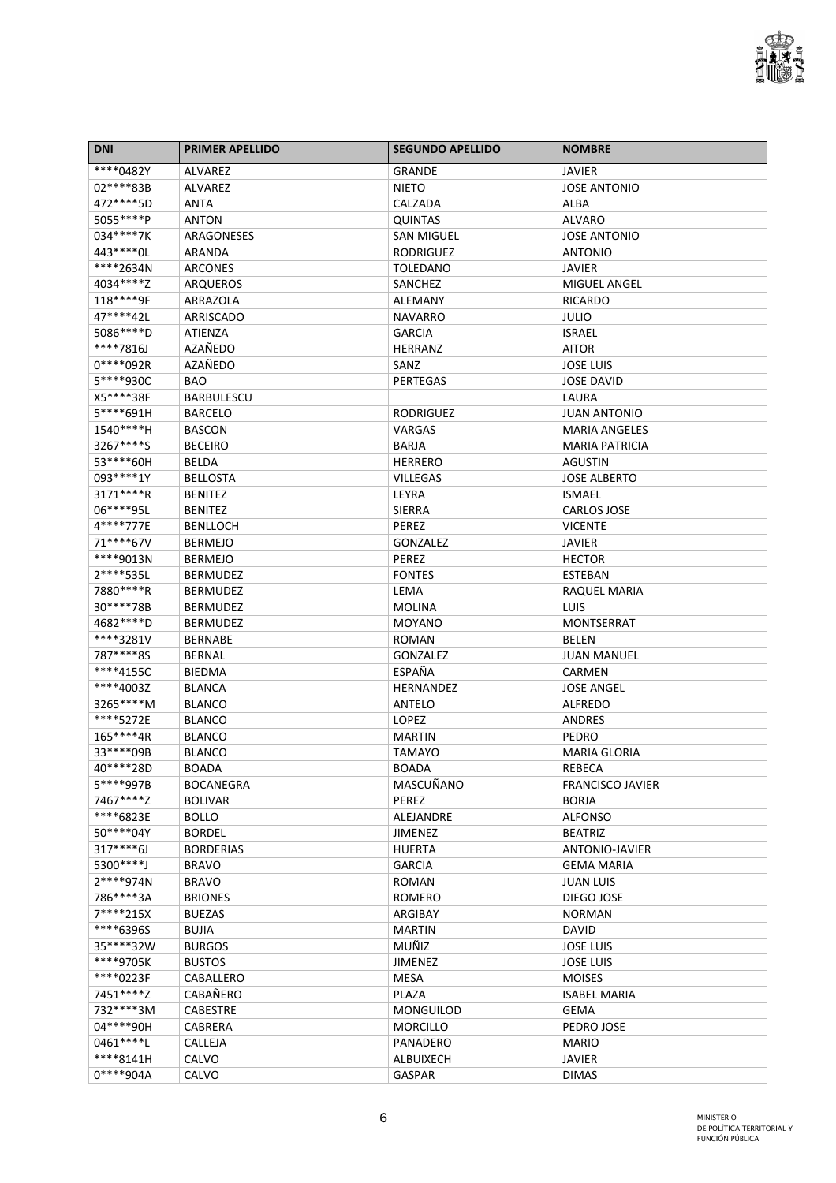

| <b>DNI</b>  | <b>PRIMER APELLIDO</b>             | <b>SEGUNDO APELLIDO</b>       | <b>NOMBRE</b>                           |
|-------------|------------------------------------|-------------------------------|-----------------------------------------|
| ****0482Y   | <b>ALVAREZ</b>                     | <b>GRANDE</b>                 | JAVIER                                  |
| 02****83B   | <b>ALVAREZ</b>                     | <b>NIETO</b>                  | <b>JOSE ANTONIO</b>                     |
| 472 **** 5D | <b>ANTA</b>                        | CALZADA                       | ALBA                                    |
| 5055****P   | <b>ANTON</b>                       | <b>QUINTAS</b>                | ALVARO                                  |
| 034****7K   | ARAGONESES                         | <b>SAN MIGUEL</b>             | <b>JOSE ANTONIO</b>                     |
| 443 **** 0L | ARANDA                             | <b>RODRIGUEZ</b>              | <b>ANTONIO</b>                          |
| ****2634N   | <b>ARCONES</b>                     | <b>TOLEDANO</b>               | JAVIER                                  |
| 4034****Z   | <b>ARQUEROS</b>                    | SANCHEZ                       | MIGUEL ANGEL                            |
| 118****9F   | ARRAZOLA                           | <b>ALEMANY</b>                | <b>RICARDO</b>                          |
| 47****42L   | ARRISCADO                          | <b>NAVARRO</b>                | JULIO                                   |
| 5086****D   | <b>ATIENZA</b>                     | <b>GARCIA</b>                 | <b>ISRAEL</b>                           |
| ****7816J   | AZAÑEDO                            | <b>HERRANZ</b>                | <b>AITOR</b>                            |
| 0****092R   | AZAÑEDO                            | SANZ                          | <b>JOSE LUIS</b>                        |
| 5****930C   | <b>BAO</b>                         | <b>PERTEGAS</b>               | <b>JOSE DAVID</b>                       |
| X5****38F   | <b>BARBULESCU</b>                  |                               | LAURA                                   |
| 5****691H   | <b>BARCELO</b>                     | <b>RODRIGUEZ</b>              | <b>JUAN ANTONIO</b>                     |
| 1540****H   | <b>BASCON</b>                      | VARGAS                        | <b>MARIA ANGELES</b>                    |
| 3267****S   | <b>BECEIRO</b>                     | <b>BARJA</b>                  | <b>MARIA PATRICIA</b>                   |
| 53 **** 60H | <b>BELDA</b>                       | <b>HERRERO</b>                | AGUSTIN                                 |
| 093 **** 1Y | <b>BELLOSTA</b>                    | <b>VILLEGAS</b>               | <b>JOSE ALBERTO</b>                     |
| 3171****R   | <b>BENITEZ</b>                     | LEYRA                         | <b>ISMAEL</b>                           |
| 06****95L   | <b>BENITEZ</b>                     | <b>SIERRA</b>                 | <b>CARLOS JOSE</b>                      |
| 4****777E   | <b>BENLLOCH</b>                    | PEREZ                         | <b>VICENTE</b>                          |
| 71 **** 67V | <b>BERMEJO</b>                     | GONZALEZ                      | JAVIER                                  |
| ****9013N   | <b>BERMEJO</b>                     | PEREZ                         | <b>HECTOR</b>                           |
| 2****535L   | <b>BERMUDEZ</b>                    | <b>FONTES</b>                 | ESTEBAN                                 |
| 7880****R   | <b>BERMUDEZ</b>                    | LEMA                          | RAQUEL MARIA                            |
| 30****78B   | <b>BERMUDEZ</b>                    | <b>MOLINA</b>                 | LUIS                                    |
| 4682 **** D | <b>BERMUDEZ</b>                    | <b>MOYANO</b>                 | MONTSERRAT                              |
| ****3281V   | <b>BERNABE</b>                     | <b>ROMAN</b>                  | <b>BELEN</b>                            |
| 787****8S   | <b>BERNAL</b>                      | GONZALEZ                      | <b>JUAN MANUEL</b>                      |
| ****4155C   |                                    | ESPAÑA                        |                                         |
| ****4003Z   | <b>BIEDMA</b>                      | <b>HERNANDEZ</b>              | CARMEN<br><b>JOSE ANGEL</b>             |
| 3265****M   | <b>BLANCA</b>                      | <b>ANTELO</b>                 |                                         |
| ****5272E   | <b>BLANCO</b><br><b>BLANCO</b>     |                               | <b>ALFREDO</b>                          |
| 165****4R   |                                    | LOPEZ                         | ANDRES<br>PEDRO                         |
| 33****09B   | <b>BLANCO</b>                      | <b>MARTIN</b>                 |                                         |
| 40****28D   | <b>BLANCO</b><br>BOADA             | <b>TAMAYO</b><br><b>BOADA</b> | <b>MARIA GLORIA</b><br>REBECA           |
| 5****997B   |                                    |                               |                                         |
| 7467****Z   | <b>BOCANEGRA</b><br><b>BOLIVAR</b> | MASCUÑANO<br>PEREZ            | <b>FRANCISCO JAVIER</b><br><b>BORJA</b> |
| ****6823E   |                                    |                               |                                         |
| 50****04Y   | BOLLO                              | <b>ALEJANDRE</b>              | <b>ALFONSO</b>                          |
|             | <b>BORDEL</b>                      | <b>JIMENEZ</b>                | <b>BEATRIZ</b>                          |
| $317***6J$  | <b>BORDERIAS</b>                   | <b>HUERTA</b>                 | ANTONIO-JAVIER                          |
| 5300****J   | <b>BRAVO</b>                       | <b>GARCIA</b>                 | <b>GEMA MARIA</b>                       |
| 2****974N   | <b>BRAVO</b>                       | <b>ROMAN</b>                  | <b>JUAN LUIS</b>                        |
| 786****3A   | <b>BRIONES</b>                     | <b>ROMERO</b>                 | DIEGO JOSE                              |
| 7****215X   | <b>BUEZAS</b>                      | ARGIBAY                       | <b>NORMAN</b>                           |
| ****6396S   | <b>BUJIA</b>                       | <b>MARTIN</b>                 | DAVID                                   |
| 35****32W   | <b>BURGOS</b>                      | <b>MUÑIZ</b>                  | <b>JOSE LUIS</b>                        |
| ****9705K   | <b>BUSTOS</b>                      | <b>JIMENEZ</b>                | <b>JOSE LUIS</b>                        |
| ****0223F   | CABALLERO                          | <b>MESA</b>                   | <b>MOISES</b>                           |
| 7451****Z   | CABAÑERO                           | PLAZA                         | <b>ISABEL MARIA</b>                     |
| 732****3M   | <b>CABESTRE</b>                    | <b>MONGUILOD</b>              | <b>GEMA</b>                             |
| 04****90H   | CABRERA                            | <b>MORCILLO</b>               | PEDRO JOSE                              |
| 0461 **** L | CALLEJA                            | <b>PANADERO</b>               | <b>MARIO</b>                            |
| ****8141H   | CALVO                              | <b>ALBUIXECH</b>              | <b>JAVIER</b>                           |
| 0****904A   | CALVO                              | <b>GASPAR</b>                 | <b>DIMAS</b>                            |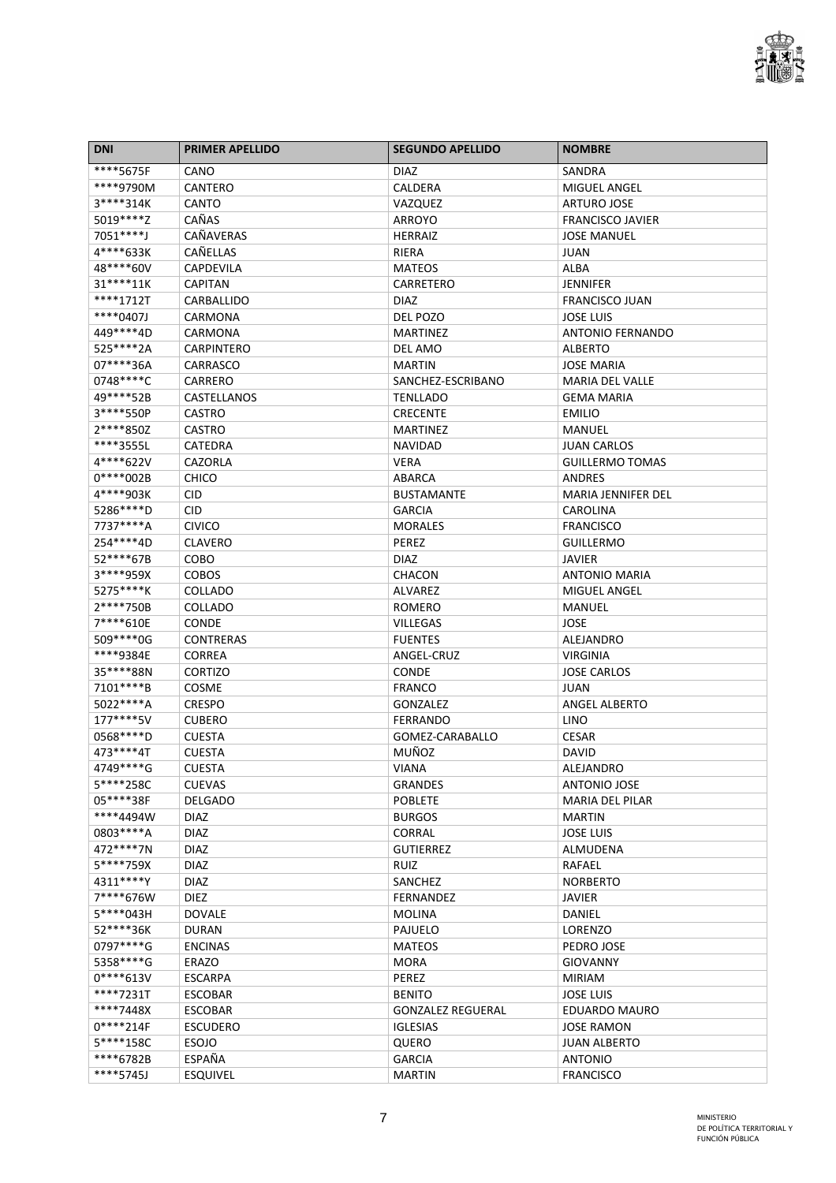

| <b>DNI</b>  | <b>PRIMER APELLIDO</b> | <b>SEGUNDO APELLIDO</b>  | <b>NOMBRE</b>             |
|-------------|------------------------|--------------------------|---------------------------|
| ****5675F   | CANO                   | <b>DIAZ</b>              | SANDRA                    |
| ****9790M   | CANTERO                | CALDERA                  | <b>MIGUEL ANGEL</b>       |
| 3****314K   | <b>CANTO</b>           | VAZQUEZ                  | <b>ARTURO JOSE</b>        |
| 5019 **** Z | CAÑAS                  | <b>ARROYO</b>            | <b>FRANCISCO JAVIER</b>   |
| 7051****J   | CAÑAVERAS              | <b>HERRAIZ</b>           | <b>JOSE MANUEL</b>        |
| 4****633K   | CAÑELLAS               | RIERA                    | <b>JUAN</b>               |
| 48****60V   | <b>CAPDEVILA</b>       | <b>MATEOS</b>            | ALBA                      |
| 31****11K   | <b>CAPITAN</b>         | CARRETERO                | <b>JENNIFER</b>           |
| ****1712T   | CARBALLIDO             | <b>DIAZ</b>              | <b>FRANCISCO JUAN</b>     |
| ****0407J   | CARMONA                | DEL POZO                 | <b>JOSE LUIS</b>          |
| 449****4D   | <b>CARMONA</b>         | <b>MARTINEZ</b>          | <b>ANTONIO FERNANDO</b>   |
| 525****2A   | <b>CARPINTERO</b>      | DEL AMO                  | <b>ALBERTO</b>            |
| 07****36A   | CARRASCO               | <b>MARTIN</b>            | <b>JOSE MARIA</b>         |
| 0748****C   | CARRERO                | SANCHEZ-ESCRIBANO        | <b>MARIA DEL VALLE</b>    |
| 49****52B   | CASTELLANOS            | <b>TENLLADO</b>          | <b>GEMA MARIA</b>         |
| 3****550P   | CASTRO                 | <b>CRECENTE</b>          | <b>EMILIO</b>             |
| 2****850Z   | <b>CASTRO</b>          | <b>MARTINEZ</b>          | MANUEL                    |
| ****3555L   | CATEDRA                | <b>NAVIDAD</b>           | <b>JUAN CARLOS</b>        |
| 4****622V   | CAZORLA                | <b>VERA</b>              | <b>GUILLERMO TOMAS</b>    |
| 0****002B   | <b>CHICO</b>           | ABARCA                   | <b>ANDRES</b>             |
| 4****903K   | <b>CID</b>             | <b>BUSTAMANTE</b>        | <b>MARIA JENNIFER DEL</b> |
| 5286****D   | <b>CID</b>             | <b>GARCIA</b>            | <b>CAROLINA</b>           |
| 7737****A   | <b>CIVICO</b>          | <b>MORALES</b>           | <b>FRANCISCO</b>          |
| 254 **** 4D | <b>CLAVERO</b>         | PEREZ                    | <b>GUILLERMO</b>          |
| 52****67B   | COBO                   | DIAZ                     | <b>JAVIER</b>             |
| 3****959X   | <b>COBOS</b>           | CHACON                   | <b>ANTONIO MARIA</b>      |
| 5275****K   | COLLADO                | ALVAREZ                  | MIGUEL ANGEL              |
| 2****750B   | COLLADO                | <b>ROMERO</b>            | MANUEL                    |
| 7****610E   | <b>CONDE</b>           | <b>VILLEGAS</b>          | JOSE                      |
| 509 **** 0G | <b>CONTRERAS</b>       | <b>FUENTES</b>           | ALEJANDRO                 |
| ****9384E   | <b>CORREA</b>          | ANGEL-CRUZ               | <b>VIRGINIA</b>           |
| 35****88N   | <b>CORTIZO</b>         | <b>CONDE</b>             | <b>JOSE CARLOS</b>        |
| 7101****B   | COSME                  | <b>FRANCO</b>            | <b>JUAN</b>               |
| 5022****A   | <b>CRESPO</b>          | <b>GONZALEZ</b>          | <b>ANGEL ALBERTO</b>      |
| 177****5V   | <b>CUBERO</b>          | FERRANDO                 | <b>LINO</b>               |
| 0568 **** D | <b>CUESTA</b>          | GOMEZ-CARABALLO          | <b>CESAR</b>              |
| 473 **** 47 | <b>CUESTA</b>          | MUÑOZ                    | DAVID                     |
| 4749 **** G | <b>CUESTA</b>          | <b>VIANA</b>             | ALEJANDRO                 |
| 5****258C   | <b>CUEVAS</b>          | <b>GRANDES</b>           | <b>ANTONIO JOSE</b>       |
| 05****38F   | <b>DELGADO</b>         | <b>POBLETE</b>           | <b>MARIA DEL PILAR</b>    |
| ****4494W   | <b>DIAZ</b>            | <b>BURGOS</b>            | <b>MARTIN</b>             |
| 0803 **** A | <b>DIAZ</b>            | <b>CORRAL</b>            | <b>JOSE LUIS</b>          |
| 472 **** 7N | <b>DIAZ</b>            | <b>GUTIERREZ</b>         | ALMUDENA                  |
| 5****759X   | <b>DIAZ</b>            | RUIZ                     | RAFAEL                    |
| 4311****Y   | <b>DIAZ</b>            | SANCHEZ                  | <b>NORBERTO</b>           |
| 7****676W   | <b>DIEZ</b>            | <b>FERNANDEZ</b>         | <b>JAVIER</b>             |
| 5****043H   | <b>DOVALE</b>          | <b>MOLINA</b>            | DANIEL                    |
| 52****36K   | <b>DURAN</b>           | PAJUELO                  | LORENZO                   |
| 0797****G   | <b>ENCINAS</b>         | <b>MATEOS</b>            | PEDRO JOSE                |
| 5358 **** G | <b>ERAZO</b>           | <b>MORA</b>              | <b>GIOVANNY</b>           |
| $0****613V$ | <b>ESCARPA</b>         | PEREZ                    | <b>MIRIAM</b>             |
| ****7231T   | <b>ESCOBAR</b>         | <b>BENITO</b>            | <b>JOSE LUIS</b>          |
| ****7448X   | <b>ESCOBAR</b>         | <b>GONZALEZ REGUERAL</b> | <b>EDUARDO MAURO</b>      |
| $0****214F$ | <b>ESCUDERO</b>        | <b>IGLESIAS</b>          | <b>JOSE RAMON</b>         |
| 5****158C   | <b>ESOJO</b>           | QUERO                    | <b>JUAN ALBERTO</b>       |
| ****6782B   | ESPAÑA                 | <b>GARCIA</b>            | <b>ANTONIO</b>            |
| ****5745J   | <b>ESQUIVEL</b>        | <b>MARTIN</b>            | <b>FRANCISCO</b>          |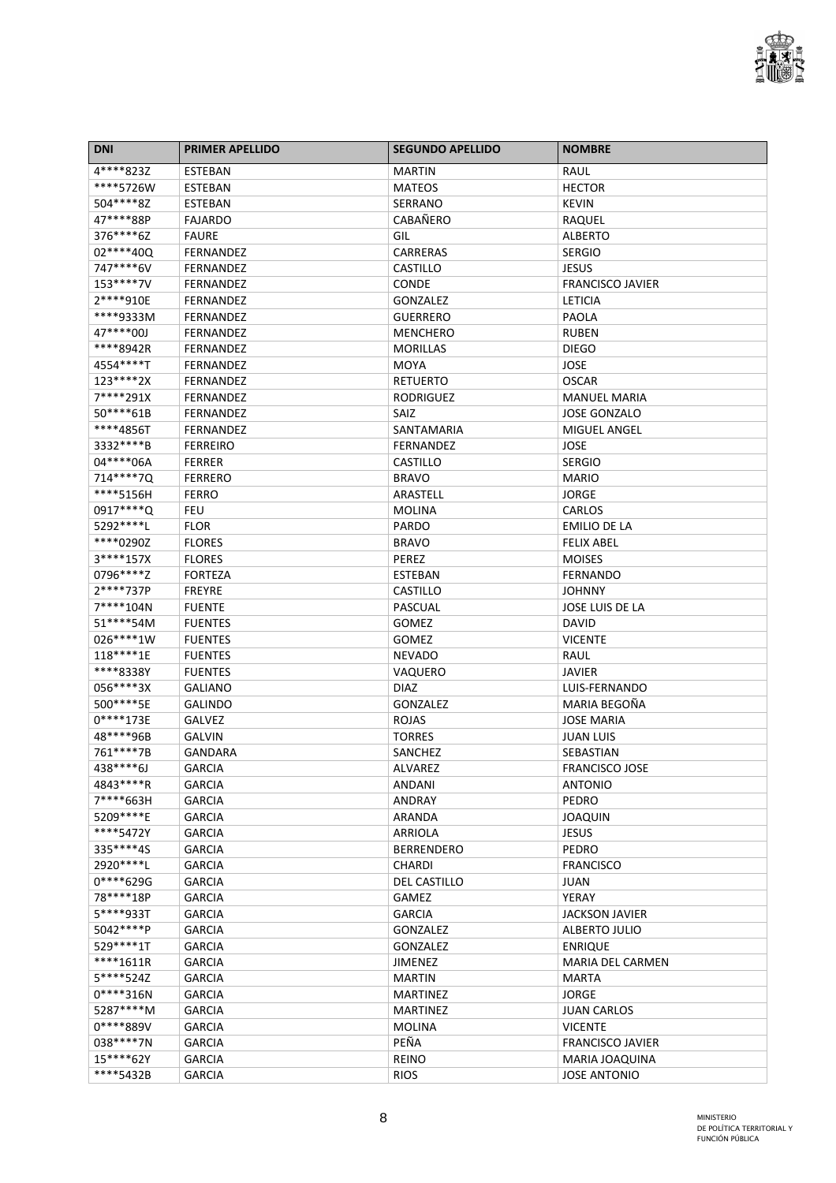

| <b>DNI</b>  | <b>PRIMER APELLIDO</b>     | <b>SEGUNDO APELLIDO</b> | <b>NOMBRE</b>           |
|-------------|----------------------------|-------------------------|-------------------------|
| 4****823Z   | ESTEBAN                    | <b>MARTIN</b>           | RAUL                    |
| ****5726W   | <b>ESTEBAN</b>             | <b>MATEOS</b>           | <b>HECTOR</b>           |
| 504****8Z   | ESTEBAN                    | SERRANO                 | <b>KEVIN</b>            |
| 47****88P   | <b>FAJARDO</b>             | <b>CABAÑERO</b>         | RAQUEL                  |
| 376****6Z   | <b>FAURE</b>               | GIL                     | <b>ALBERTO</b>          |
| 02 **** 40Q | <b>FERNANDEZ</b>           | <b>CARRERAS</b>         | <b>SERGIO</b>           |
| 747****6V   | FERNANDEZ                  | CASTILLO                | JESUS                   |
| 153****7V   | FERNANDEZ                  | <b>CONDE</b>            | <b>FRANCISCO JAVIER</b> |
| 2****910E   | FERNANDEZ                  | GONZALEZ                | <b>LETICIA</b>          |
| ****9333M   | <b>FERNANDEZ</b>           | <b>GUERRERO</b>         | PAOLA                   |
| 47****00J   | <b>FERNANDEZ</b>           | <b>MENCHERO</b>         | <b>RUBEN</b>            |
| ****8942R   | <b>FERNANDEZ</b>           | <b>MORILLAS</b>         | <b>DIEGO</b>            |
| 4554****T   | <b>FERNANDEZ</b>           | <b>MOYA</b>             | JOSE                    |
| 123****2X   | <b>FERNANDEZ</b>           | <b>RETUERTO</b>         | <b>OSCAR</b>            |
| 7****291X   | <b>FERNANDEZ</b>           | <b>RODRIGUEZ</b>        | <b>MANUEL MARIA</b>     |
| 50****61B   | <b>FERNANDEZ</b>           | <b>SAIZ</b>             | <b>JOSE GONZALO</b>     |
| ****4856T   | <b>FERNANDEZ</b>           | SANTAMARIA              | <b>MIGUEL ANGEL</b>     |
| 3332 **** B | <b>FERREIRO</b>            | FERNANDEZ               | JOSE                    |
| 04 **** 06A | <b>FERRER</b>              | CASTILLO                | <b>SERGIO</b>           |
| 714****7Q   | <b>FERRERO</b>             | <b>BRAVO</b>            | <b>MARIO</b>            |
| ****5156H   |                            | ARASTELL                |                         |
| 0917****Q   | <b>FERRO</b><br><b>FEU</b> |                         | JORGE                   |
|             |                            | <b>MOLINA</b>           | CARLOS                  |
| 5292 **** L | <b>FLOR</b>                | PARDO                   | <b>EMILIO DE LA</b>     |
| ****0290Z   | <b>FLORES</b>              | <b>BRAVO</b>            | <b>FELIX ABEL</b>       |
| 3****157X   | <b>FLORES</b>              | PEREZ                   | <b>MOISES</b>           |
| 0796****Z   | <b>FORTEZA</b>             | ESTEBAN                 | <b>FERNANDO</b>         |
| 2****737P   | <b>FREYRE</b>              | CASTILLO                | <b>JOHNNY</b>           |
| 7****104N   | <b>FUENTE</b>              | PASCUAL                 | JOSE LUIS DE LA         |
| 51****54M   | <b>FUENTES</b>             | <b>GOMEZ</b>            | DAVID                   |
| 026****1W   | <b>FUENTES</b>             | <b>GOMEZ</b>            | <b>VICENTE</b>          |
| 118****1E   | <b>FUENTES</b>             | <b>NEVADO</b>           | RAUL                    |
| ****8338Y   | <b>FUENTES</b>             | VAQUERO                 | <b>JAVIER</b>           |
| 056****3X   | <b>GALIANO</b>             | <b>DIAZ</b>             | LUIS-FERNANDO           |
| 500****5E   | <b>GALINDO</b>             | GONZALEZ                | MARIA BEGOÑA            |
| $0****173E$ | GALVEZ                     | <b>ROJAS</b>            | <b>JOSE MARIA</b>       |
| 48****96B   | <b>GALVIN</b>              | <b>TORRES</b>           | JUAN LUIS               |
| 761****7B   | <b>GANDARA</b>             | SANCHEZ                 | SEBASTIAN               |
| 438****6J   | <b>GARCIA</b>              | ALVAREZ                 | FRANCISCO JOSE          |
| 4843****R   | <b>GARCIA</b>              | ANDANI                  | <b>ANTONIO</b>          |
| 7****663H   | <b>GARCIA</b>              | <b>ANDRAY</b>           | PEDRO                   |
| 5209****E   | <b>GARCIA</b>              | ARANDA                  | <b>JOAQUIN</b>          |
| ****5472Y   | <b>GARCIA</b>              | ARRIOLA                 | <b>JESUS</b>            |
| 335****4S   | <b>GARCIA</b>              | <b>BERRENDERO</b>       | PEDRO                   |
| 2920 **** L | <b>GARCIA</b>              | <b>CHARDI</b>           | <b>FRANCISCO</b>        |
| 0****629G   | <b>GARCIA</b>              | <b>DEL CASTILLO</b>     | JUAN                    |
| 78****18P   | <b>GARCIA</b>              | <b>GAMEZ</b>            | YERAY                   |
| 5****933T   | <b>GARCIA</b>              | <b>GARCIA</b>           | <b>JACKSON JAVIER</b>   |
| 5042****P   | <b>GARCIA</b>              | GONZALEZ                | ALBERTO JULIO           |
| 529 **** 1T | <b>GARCIA</b>              | <b>GONZALEZ</b>         | <b>ENRIQUE</b>          |
| ****1611R   | <b>GARCIA</b>              | <b>JIMENEZ</b>          | <b>MARIA DEL CARMEN</b> |
| 5****524Z   | <b>GARCIA</b>              | <b>MARTIN</b>           | <b>MARTA</b>            |
| $0****316N$ | <b>GARCIA</b>              | <b>MARTINEZ</b>         | <b>JORGE</b>            |
| 5287****M   | <b>GARCIA</b>              | <b>MARTINEZ</b>         | <b>JUAN CARLOS</b>      |
| 0****889V   | <b>GARCIA</b>              | <b>MOLINA</b>           | <b>VICENTE</b>          |
| 038 **** 7N | <b>GARCIA</b>              | PEÑA                    | <b>FRANCISCO JAVIER</b> |
| 15****62Y   | <b>GARCIA</b>              | <b>REINO</b>            | MARIA JOAQUINA          |
| ****5432B   | <b>GARCIA</b>              | <b>RIOS</b>             | <b>JOSE ANTONIO</b>     |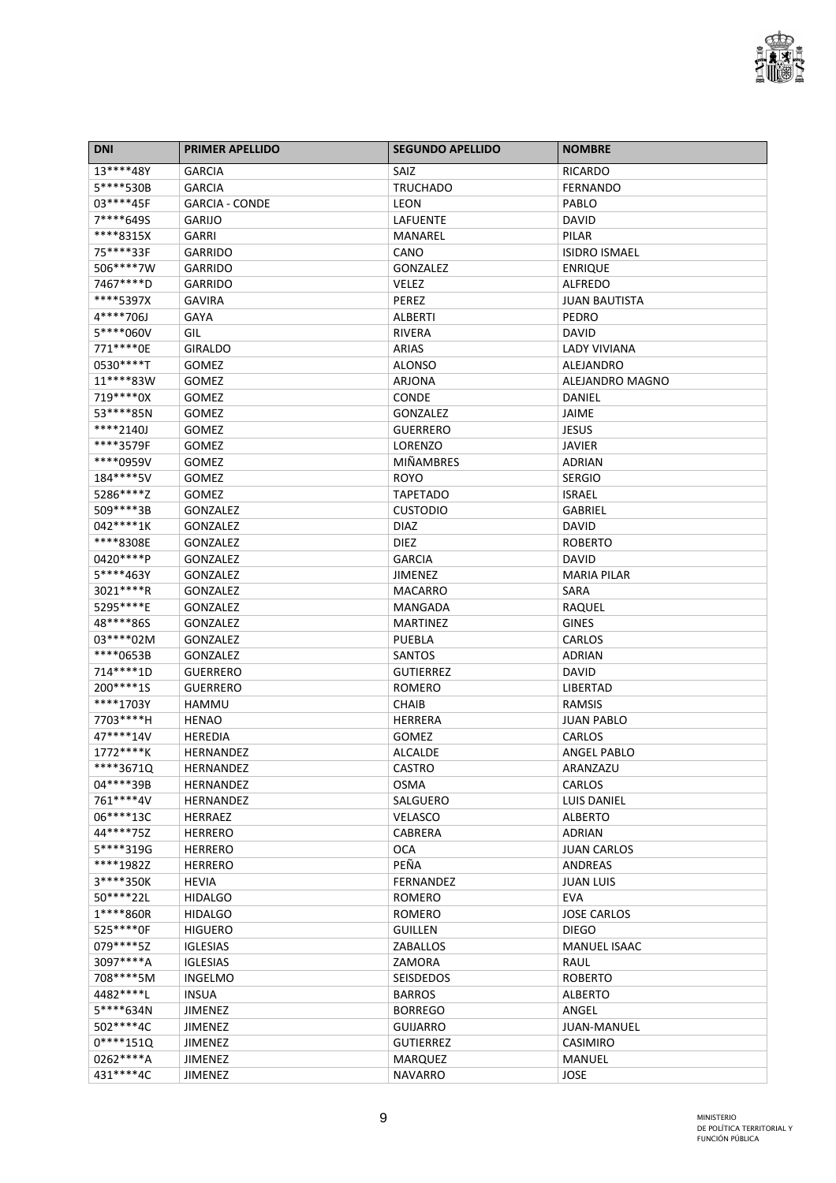

| <b>DNI</b>   | <b>PRIMER APELLIDO</b> | <b>SEGUNDO APELLIDO</b> | <b>NOMBRE</b>        |
|--------------|------------------------|-------------------------|----------------------|
| 13****48Y    | <b>GARCIA</b>          | SAIZ                    | <b>RICARDO</b>       |
| 5****530B    | <b>GARCIA</b>          | <b>TRUCHADO</b>         | <b>FERNANDO</b>      |
| 03 **** 45F  | <b>GARCIA - CONDE</b>  | LEON                    | PABLO                |
| 7****6495    | <b>GARIJO</b>          | LAFUENTE                | <b>DAVID</b>         |
| ****8315X    | GARRI                  | MANAREL                 | PILAR                |
| 75****33F    | <b>GARRIDO</b>         | CANO                    | <b>ISIDRO ISMAEL</b> |
| 506****7W    | <b>GARRIDO</b>         | <b>GONZALEZ</b>         | <b>ENRIQUE</b>       |
| 7467****D    | <b>GARRIDO</b>         | VELEZ                   | <b>ALFREDO</b>       |
| ****5397X    | <b>GAVIRA</b>          | PEREZ                   | <b>JUAN BAUTISTA</b> |
| 4****706J    | <b>GAYA</b>            | <b>ALBERTI</b>          | <b>PEDRO</b>         |
| 5****060V    | GIL                    | <b>RIVERA</b>           | <b>DAVID</b>         |
| 771 **** 0E  | <b>GIRALDO</b>         | ARIAS                   | <b>LADY VIVIANA</b>  |
| 0530****T    | GOMEZ                  | <b>ALONSO</b>           | <b>ALEJANDRO</b>     |
| 11****83W    | GOMEZ                  | ARJONA                  | ALEJANDRO MAGNO      |
| 719 **** 0X  | GOMEZ                  | <b>CONDE</b>            | DANIEL               |
| 53 **** 85N  | <b>GOMEZ</b>           | <b>GONZALEZ</b>         | JAIME                |
| ****2140J    | <b>GOMEZ</b>           | <b>GUERRERO</b>         | <b>JESUS</b>         |
| ****3579F    | GOMEZ                  | LORENZO                 | <b>JAVIER</b>        |
| ****0959V    | <b>GOMEZ</b>           | <b>MIÑAMBRES</b>        | <b>ADRIAN</b>        |
| 184****5V    | <b>GOMEZ</b>           | <b>ROYO</b>             | <b>SERGIO</b>        |
| 5286****Z    | <b>GOMEZ</b>           | <b>TAPETADO</b>         | <b>ISRAEL</b>        |
| 509 **** 3B  | <b>GONZALEZ</b>        | <b>CUSTODIO</b>         | GABRIEL              |
| 042****1K    | <b>GONZALEZ</b>        | <b>DIAZ</b>             | <b>DAVID</b>         |
| ****8308E    | <b>GONZALEZ</b>        | DIEZ                    | <b>ROBERTO</b>       |
| 0420****P    | GONZALEZ               | <b>GARCIA</b>           | <b>DAVID</b>         |
| 5****463Y    | <b>GONZALEZ</b>        | <b>JIMENEZ</b>          | <b>MARIA PILAR</b>   |
| 3021 **** R  | <b>GONZALEZ</b>        | <b>MACARRO</b>          | SARA                 |
| 5295****E    |                        |                         |                      |
| 48****86S    | <b>GONZALEZ</b>        | MANGADA                 | RAQUEL               |
|              | <b>GONZALEZ</b>        | <b>MARTINEZ</b>         | <b>GINES</b>         |
| 03****02M    | GONZALEZ               | PUEBLA                  | CARLOS               |
| ****0653B    | GONZALEZ               | SANTOS                  | ADRIAN               |
| 714****1D    | <b>GUERRERO</b>        | <b>GUTIERREZ</b>        | <b>DAVID</b>         |
| 200****1S    | <b>GUERRERO</b>        | <b>ROMERO</b>           | LIBERTAD             |
| ****1703Y    | <b>HAMMU</b>           | <b>CHAIB</b>            | RAMSIS               |
| 7703****H    | <b>HENAO</b>           | <b>HERRERA</b>          | <b>JUAN PABLO</b>    |
| 47****14V    | <b>HEREDIA</b>         | GOMEZ                   | CARLOS               |
| 1772****K    | HERNANDEZ              | <b>ALCALDE</b>          | ANGEL PABLO          |
| $ ***3671Q$  | HERNANDEZ              | CASTRO                  | ARANZAZU             |
| 04****39B    | HERNANDEZ              | OSMA                    | CARLOS               |
| 761****4V    | <b>HERNANDEZ</b>       | SALGUERO                | <b>LUIS DANIEL</b>   |
| 06****13C    | <b>HERRAEZ</b>         | <b>VELASCO</b>          | <b>ALBERTO</b>       |
| 44****75Z    | <b>HERRERO</b>         | CABRERA                 | <b>ADRIAN</b>        |
| 5****319G    | <b>HERRERO</b>         | <b>OCA</b>              | <b>JUAN CARLOS</b>   |
| ****1982Z    | <b>HERRERO</b>         | PEÑA                    | ANDREAS              |
| 3****350K    | <b>HEVIA</b>           | FERNANDEZ               | <b>JUAN LUIS</b>     |
| 50****22L    | <b>HIDALGO</b>         | <b>ROMERO</b>           | <b>EVA</b>           |
| 1****860R    | <b>HIDALGO</b>         | <b>ROMERO</b>           | <b>JOSE CARLOS</b>   |
| 525 **** OF  | <b>HIGUERO</b>         | <b>GUILLEN</b>          | <b>DIEGO</b>         |
| 079 **** 5Z  | <b>IGLESIAS</b>        | ZABALLOS                | <b>MANUEL ISAAC</b>  |
| 3097****A    | <b>IGLESIAS</b>        | ZAMORA                  | RAUL                 |
| 708****5M    | <b>INGELMO</b>         | <b>SEISDEDOS</b>        | <b>ROBERTO</b>       |
| 4482 ***** L | <b>INSUA</b>           | <b>BARROS</b>           | <b>ALBERTO</b>       |
| 5****634N    | <b>JIMENEZ</b>         | <b>BORREGO</b>          | ANGEL                |
| 502****4C    | JIMENEZ                | <b>GUIJARRO</b>         | <b>JUAN-MANUEL</b>   |
| $0****151Q$  | <b>JIMENEZ</b>         | <b>GUTIERREZ</b>        | <b>CASIMIRO</b>      |
| 0262 **** A  | <b>JIMENEZ</b>         | <b>MARQUEZ</b>          | MANUEL               |
| 431****4C    | JIMENEZ                | <b>NAVARRO</b>          | <b>JOSE</b>          |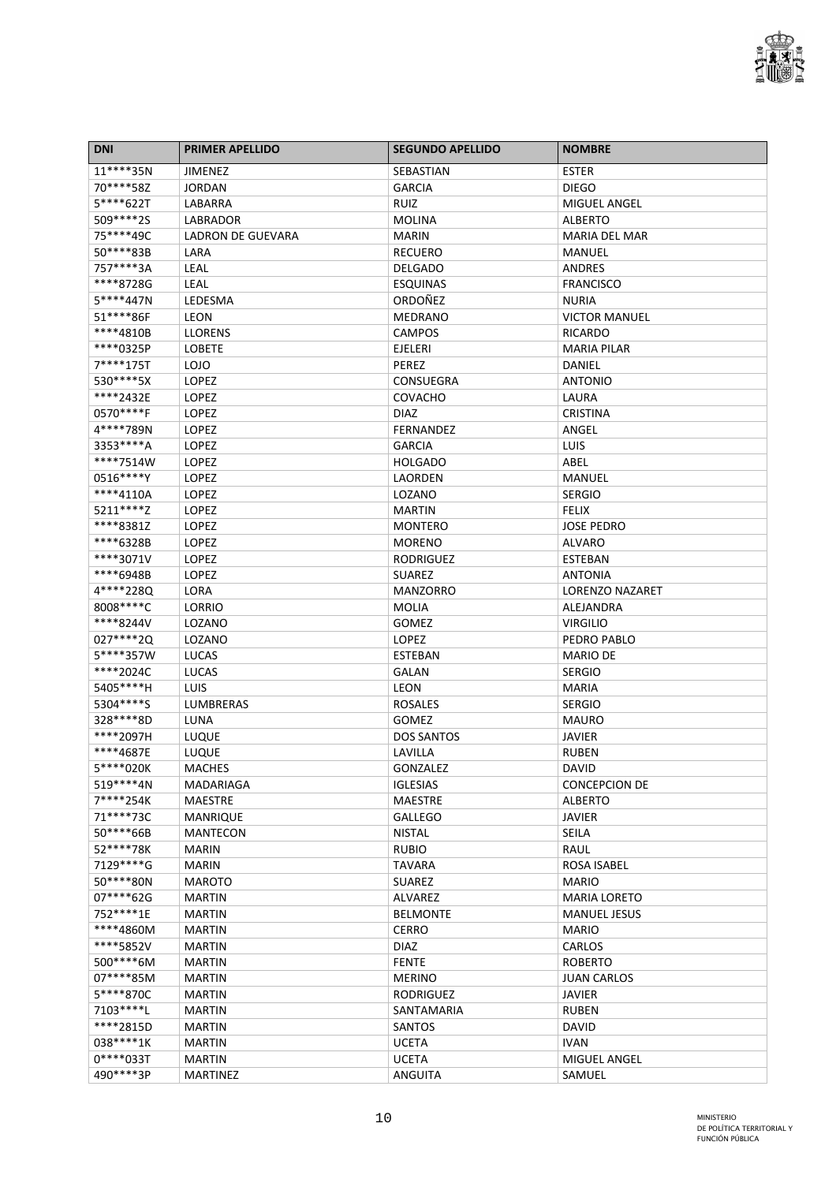

| <b>DNI</b>  | <b>PRIMER APELLIDO</b> | <b>SEGUNDO APELLIDO</b> | <b>NOMBRE</b>          |
|-------------|------------------------|-------------------------|------------------------|
| 11****35N   | <b>JIMENEZ</b>         | SEBASTIAN               | <b>ESTER</b>           |
| 70****58Z   | <b>JORDAN</b>          | <b>GARCIA</b>           | <b>DIEGO</b>           |
| 5****622T   | LABARRA                | RUIZ                    | <b>MIGUEL ANGEL</b>    |
| 509****2S   | LABRADOR               | <b>MOLINA</b>           | <b>ALBERTO</b>         |
| 75****49C   | LADRON DE GUEVARA      | <b>MARIN</b>            | <b>MARIA DEL MAR</b>   |
| 50****83B   | LARA                   | <b>RECUERO</b>          | MANUEL                 |
| 757****3A   | <b>LEAL</b>            | <b>DELGADO</b>          | ANDRES                 |
| ****8728G   | <b>LEAL</b>            | <b>ESQUINAS</b>         | <b>FRANCISCO</b>       |
| 5****447N   | LEDESMA                | ORDOÑEZ                 | <b>NURIA</b>           |
| 51 **** 86F | <b>LEON</b>            | <b>MEDRANO</b>          | <b>VICTOR MANUEL</b>   |
| ****4810B   | <b>LLORENS</b>         | CAMPOS                  | RICARDO                |
| ****0325P   | <b>LOBETE</b>          | <b>EJELERI</b>          | <b>MARIA PILAR</b>     |
| 7****175T   | <b>LOJO</b>            | PEREZ                   | DANIEL                 |
| 530****5X   | LOPEZ                  | <b>CONSUEGRA</b>        | <b>ANTONIO</b>         |
| ****2432E   | LOPEZ                  | <b>COVACHO</b>          | LAURA                  |
| 0570****F   | LOPEZ                  | <b>DIAZ</b>             | <b>CRISTINA</b>        |
| 4****789N   | <b>LOPEZ</b>           | <b>FERNANDEZ</b>        | ANGEL                  |
| 3353 **** A | LOPEZ                  | <b>GARCIA</b>           | LUIS                   |
| ****7514W   | LOPEZ                  | <b>HOLGADO</b>          | ABEL                   |
| 0516****Y   | <b>LOPEZ</b>           | <b>LAORDEN</b>          | <b>MANUEL</b>          |
| ****4110A   | LOPEZ                  | LOZANO                  | <b>SERGIO</b>          |
| 5211****Z   | LOPEZ                  | <b>MARTIN</b>           | <b>FELIX</b>           |
| ****8381Z   | LOPEZ                  | <b>MONTERO</b>          | <b>JOSE PEDRO</b>      |
| ****6328B   | LOPEZ                  | <b>MORENO</b>           | <b>ALVARO</b>          |
| ****3071V   | <b>LOPEZ</b>           | <b>RODRIGUEZ</b>        | <b>ESTEBAN</b>         |
| ****6948B   | <b>LOPEZ</b>           | <b>SUAREZ</b>           | <b>ANTONIA</b>         |
| 4****228Q   | LORA                   | <b>MANZORRO</b>         | <b>LORENZO NAZARET</b> |
| 8008 **** C | LORRIO                 | <b>MOLIA</b>            | ALEJANDRA              |
| ****8244V   | LOZANO                 | <b>GOMEZ</b>            | <b>VIRGILIO</b>        |
| 027****2Q   | LOZANO                 | LOPEZ                   | PEDRO PABLO            |
| 5****357W   | <b>LUCAS</b>           | <b>ESTEBAN</b>          | <b>MARIO DE</b>        |
| ****2024C   | <b>LUCAS</b>           | <b>GALAN</b>            | <b>SERGIO</b>          |
| 5405****H   | <b>LUIS</b>            | <b>LEON</b>             | <b>MARIA</b>           |
| 5304****S   | LUMBRERAS              | <b>ROSALES</b>          | <b>SERGIO</b>          |
| 328 **** 8D | LUNA                   | <b>GOMEZ</b>            | <b>MAURO</b>           |
| ****2097H   | LUQUE                  | <b>DOS SANTOS</b>       | JAVIER                 |
| ****4687E   | LUQUE                  | LAVILLA                 | <b>RUBEN</b>           |
| 5****020K   | <b>MACHES</b>          | GONZALEZ                | <b>DAVID</b>           |
| 519****4N   | MADARIAGA              | <b>IGLESIAS</b>         | <b>CONCEPCION DE</b>   |
| 7****254K   | <b>MAESTRE</b>         | <b>MAESTRE</b>          | <b>ALBERTO</b>         |
| 71****73C   | <b>MANRIQUE</b>        | <b>GALLEGO</b>          | <b>JAVIER</b>          |
| 50****66B   | <b>MANTECON</b>        | <b>NISTAL</b>           | <b>SEILA</b>           |
| 52****78K   | <b>MARIN</b>           | <b>RUBIO</b>            | RAUL                   |
| 7129****G   | <b>MARIN</b>           | <b>TAVARA</b>           | <b>ROSA ISABEL</b>     |
| 50****80N   | <b>MAROTO</b>          | <b>SUAREZ</b>           | <b>MARIO</b>           |
| 07****62G   | <b>MARTIN</b>          | <b>ALVAREZ</b>          | <b>MARIA LORETO</b>    |
| 752 **** 1E | <b>MARTIN</b>          | <b>BELMONTE</b>         | <b>MANUEL JESUS</b>    |
| ****4860M   | <b>MARTIN</b>          | <b>CERRO</b>            | <b>MARIO</b>           |
| ****5852V   | <b>MARTIN</b>          | <b>DIAZ</b>             | CARLOS                 |
| 500****6M   | <b>MARTIN</b>          | <b>FENTE</b>            | <b>ROBERTO</b>         |
| 07****85M   | <b>MARTIN</b>          | <b>MERINO</b>           | <b>JUAN CARLOS</b>     |
| 5****870C   | <b>MARTIN</b>          | <b>RODRIGUEZ</b>        | <b>JAVIER</b>          |
| 7103****L   | <b>MARTIN</b>          | SANTAMARIA              | <b>RUBEN</b>           |
| ****2815D   | <b>MARTIN</b>          | <b>SANTOS</b>           | <b>DAVID</b>           |
| 038 **** 1K | <b>MARTIN</b>          | <b>UCETA</b>            | <b>IVAN</b>            |
| $0****033T$ | <b>MARTIN</b>          | <b>UCETA</b>            | MIGUEL ANGEL           |
| 490****3P   | <b>MARTINEZ</b>        | ANGUITA                 | SAMUEL                 |
|             |                        |                         |                        |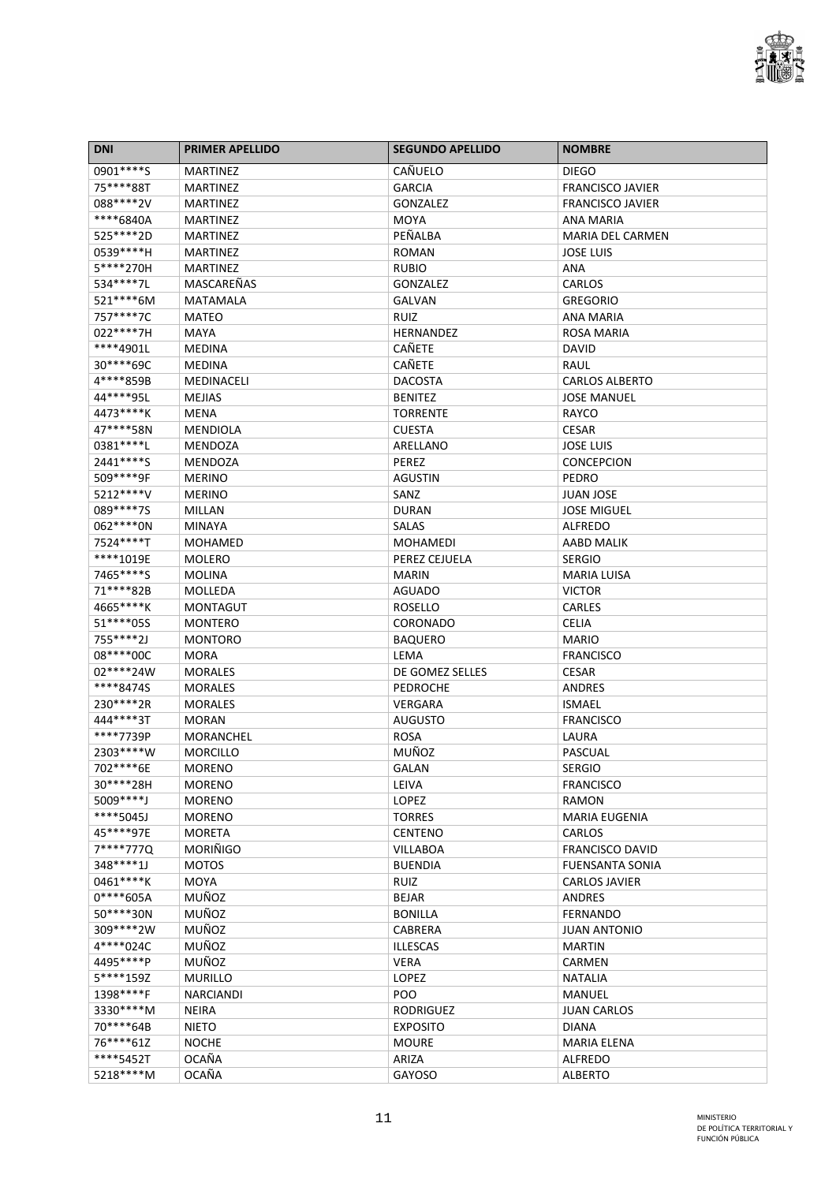

| <b>DNI</b>             | <b>PRIMER APELLIDO</b> | <b>SEGUNDO APELLIDO</b>           | <b>NOMBRE</b>                                    |
|------------------------|------------------------|-----------------------------------|--------------------------------------------------|
| 0901****S              | <b>MARTINEZ</b>        | CAÑUELO                           | <b>DIEGO</b>                                     |
| 75****88T              | <b>MARTINEZ</b>        | <b>GARCIA</b>                     | <b>FRANCISCO JAVIER</b>                          |
| 088****2V              | MARTINEZ               | GONZALEZ                          | <b>FRANCISCO JAVIER</b>                          |
| ****6840A              | <b>MARTINEZ</b>        | <b>MOYA</b>                       | ANA MARIA                                        |
| 525 **** 2D            | <b>MARTINEZ</b>        | PEÑALBA                           | <b>MARIA DEL CARMEN</b>                          |
| 0539 **** H            | <b>MARTINEZ</b>        | <b>ROMAN</b>                      | <b>JOSE LUIS</b>                                 |
| 5****270H              | <b>MARTINEZ</b>        | <b>RUBIO</b>                      | ANA                                              |
| 534 **** 7L            | MASCAREÑAS             | GONZALEZ                          | CARLOS                                           |
| 521****6M              | <b>MATAMALA</b>        | <b>GALVAN</b>                     | <b>GREGORIO</b>                                  |
| 757****7C              | <b>MATEO</b>           | <b>RUIZ</b>                       | ANA MARIA                                        |
| 022 **** 7H            | <b>MAYA</b>            | HERNANDEZ                         | <b>ROSA MARIA</b>                                |
| ****4901L              | <b>MEDINA</b>          | <b>CAÑETE</b>                     | DAVID                                            |
| 30****69C              | <b>MEDINA</b>          | <b>CAÑETE</b>                     | RAUL                                             |
| 4****859B              | <b>MEDINACELI</b>      | <b>DACOSTA</b>                    | <b>CARLOS ALBERTO</b>                            |
| 44****95L              | <b>MEJIAS</b>          | <b>BENITEZ</b>                    | <b>JOSE MANUEL</b>                               |
| 4473****K              | <b>MENA</b>            | <b>TORRENTE</b>                   | RAYCO                                            |
| 47****58N              | <b>MENDIOLA</b>        | <b>CUESTA</b>                     | <b>CESAR</b>                                     |
| 0381 **** L            | <b>MENDOZA</b>         | ARELLANO                          | <b>JOSE LUIS</b>                                 |
| 2441****S              | MENDOZA                | PEREZ                             | <b>CONCEPCION</b>                                |
| 509****9F              | <b>MERINO</b>          | <b>AGUSTIN</b>                    | <b>PEDRO</b>                                     |
| 5212****V              | <b>MERINO</b>          | SANZ                              | <b>JUAN JOSE</b>                                 |
| 089****7S              | MILLAN                 | <b>DURAN</b>                      | <b>JOSE MIGUEL</b>                               |
| 062 **** 0N            | <b>MINAYA</b>          | <b>SALAS</b>                      | <b>ALFREDO</b>                                   |
| 7524****T              | MOHAMED                | MOHAMEDI                          | AABD MALIK                                       |
| ****1019E              | <b>MOLERO</b>          | PEREZ CEJUELA                     | <b>SERGIO</b>                                    |
| 7465****S              | <b>MOLINA</b>          | MARIN                             | <b>MARIA LUISA</b>                               |
| 71****82B              | MOLLEDA                | <b>AGUADO</b>                     | <b>VICTOR</b>                                    |
| 4665****K              | <b>MONTAGUT</b>        | ROSELLO                           | CARLES                                           |
| 51 **** 055            | <b>MONTERO</b>         | <b>CORONADO</b>                   | <b>CELIA</b>                                     |
| 755****2J              | <b>MONTORO</b>         | <b>BAQUERO</b>                    | <b>MARIO</b>                                     |
| 08 **** * 00C          | <b>MORA</b>            | LEMA                              | <b>FRANCISCO</b>                                 |
| 02****24W              | <b>MORALES</b>         | DE GOMEZ SELLES                   | CESAR                                            |
| ****84745              | <b>MORALES</b>         | <b>PEDROCHE</b>                   | ANDRES                                           |
| 230****2R              | <b>MORALES</b>         | <b>VERGARA</b>                    | ISMAEL                                           |
| 444****3T              | <b>MORAN</b>           | <b>AUGUSTO</b>                    | <b>FRANCISCO</b>                                 |
| ****7739P              | MORANCHEL              | <b>ROSA</b>                       | LAURA                                            |
| 2303 **** W            | <b>MORCILLO</b>        | MUÑOZ                             | PASCUAL                                          |
| 702****6E              | MORENO                 | GALAN                             | <b>SERGIO</b>                                    |
| 30****28H              | <b>MORENO</b>          | LEIVA                             | <b>FRANCISCO</b>                                 |
| 5009 **** J            | <b>MORENO</b>          | <b>LOPEZ</b>                      | RAMON                                            |
| ****5045J              | <b>MORENO</b>          | <b>TORRES</b>                     | <b>MARIA EUGENIA</b>                             |
| 45****97E              | <b>MORETA</b>          | <b>CENTENO</b>                    | <b>CARLOS</b>                                    |
| 7****777Q              | <b>MORIÑIGO</b>        |                                   |                                                  |
| 348****1J              | <b>MOTOS</b>           | <b>VILLABOA</b><br><b>BUENDIA</b> | <b>FRANCISCO DAVID</b><br><b>FUENSANTA SONIA</b> |
| 0461****K              | <b>MOYA</b>            |                                   |                                                  |
| $0****605A$            | <b>MUÑOZ</b>           | <b>RUIZ</b>                       | <b>CARLOS JAVIER</b><br><b>ANDRES</b>            |
| 50****30N              | MUÑOZ                  | <b>BEJAR</b>                      |                                                  |
|                        |                        | <b>BONILLA</b>                    | <b>FERNANDO</b>                                  |
| 309****2W<br>4****024C | MUÑOZ                  | <b>CABRERA</b>                    | JUAN ANTONIO                                     |
|                        | MUÑOZ                  | <b>ILLESCAS</b>                   | <b>MARTIN</b>                                    |
| 4495****P              | MUÑOZ                  | <b>VERA</b>                       | CARMEN                                           |
| 5****159Z              | <b>MURILLO</b>         | LOPEZ                             | <b>NATALIA</b>                                   |
| 1398****F              | <b>NARCIANDI</b>       | POO                               | <b>MANUEL</b>                                    |
| 3330****M              | <b>NEIRA</b>           | <b>RODRIGUEZ</b>                  | <b>JUAN CARLOS</b>                               |
| 70****64B              | <b>NIETO</b>           | <b>EXPOSITO</b>                   | <b>DIANA</b>                                     |
| 76****61Z              | <b>NOCHE</b>           | <b>MOURE</b>                      | <b>MARIA ELENA</b>                               |
| ****5452T              | <b>OCAÑA</b>           | ARIZA                             | <b>ALFREDO</b>                                   |
| 5218****M              | <b>OCAÑA</b>           | GAYOSO                            | <b>ALBERTO</b>                                   |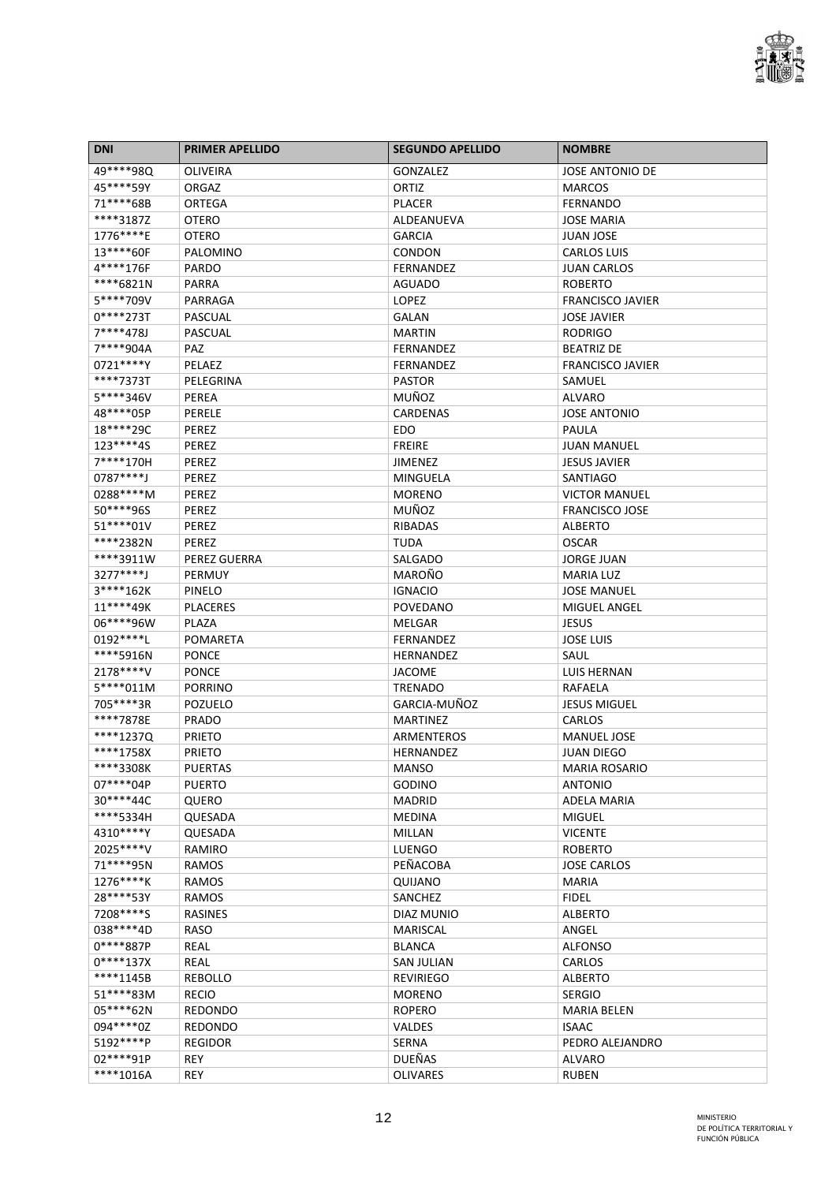

| <b>DNI</b>  | <b>PRIMER APELLIDO</b> | <b>SEGUNDO APELLIDO</b> | <b>NOMBRE</b>                                 |
|-------------|------------------------|-------------------------|-----------------------------------------------|
| 49****98Q   | OLIVEIRA               | <b>GONZALEZ</b>         | <b>JOSE ANTONIO DE</b>                        |
| 45****59Y   | ORGAZ                  | ORTIZ                   | <b>MARCOS</b>                                 |
| 71****68B   | ORTEGA                 | <b>PLACER</b>           | <b>FERNANDO</b>                               |
| ****3187Z   | <b>OTERO</b>           | ALDEANUEVA              | <b>JOSE MARIA</b>                             |
| 1776****E   | <b>OTERO</b>           | <b>GARCIA</b>           | <b>JUAN JOSE</b>                              |
| 13****60F   | PALOMINO               | CONDON                  | <b>CARLOS LUIS</b>                            |
| 4****176F   | <b>PARDO</b>           | <b>FERNANDEZ</b>        | <b>JUAN CARLOS</b>                            |
| ****6821N   | PARRA                  | <b>AGUADO</b>           | <b>ROBERTO</b>                                |
| 5****709V   | PARRAGA                | LOPEZ                   | <b>FRANCISCO JAVIER</b>                       |
| $0****273T$ | PASCUAL                | <b>GALAN</b>            | <b>JOSE JAVIER</b>                            |
| 7****478J   | <b>PASCUAL</b>         | <b>MARTIN</b>           | <b>RODRIGO</b>                                |
| 7****904A   | <b>PAZ</b>             | <b>FERNANDEZ</b>        | <b>BEATRIZ DE</b>                             |
| 0721****Y   | PELAEZ                 | <b>FERNANDEZ</b>        | <b>FRANCISCO JAVIER</b>                       |
| ****7373T   | PELEGRINA              | <b>PASTOR</b>           | SAMUEL                                        |
| 5****346V   | PEREA                  | MUÑOZ                   | ALVARO                                        |
| 48****05P   | PERELE                 | <b>CARDENAS</b>         | <b>JOSE ANTONIO</b>                           |
| 18****29C   | PEREZ                  | EDO.                    | PAULA                                         |
| 123****4S   | PEREZ                  | <b>FREIRE</b>           | <b>JUAN MANUEL</b>                            |
| 7****170H   | PEREZ                  | JIMENEZ                 | <b>JESUS JAVIER</b>                           |
| 0787****J   | PEREZ                  | <b>MINGUELA</b>         | <b>SANTIAGO</b>                               |
| 0288****M   | PEREZ                  |                         |                                               |
| 50****96S   | PEREZ                  | <b>MORENO</b><br>MUÑOZ  | <b>VICTOR MANUEL</b><br><b>FRANCISCO JOSE</b> |
|             |                        |                         |                                               |
| 51****01V   | PEREZ                  | RIBADAS                 | <b>ALBERTO</b>                                |
| ****2382N   | <b>PEREZ</b>           | <b>TUDA</b>             | OSCAR                                         |
| ****3911W   | PEREZ GUERRA           | SALGADO                 | JORGE JUAN                                    |
| 3277****J   | PERMUY                 | MAROÑO                  | <b>MARIA LUZ</b>                              |
| 3****162K   | PINELO                 | <b>IGNACIO</b>          | <b>JOSE MANUEL</b>                            |
| 11****49K   | <b>PLACERES</b>        | <b>POVEDANO</b>         | MIGUEL ANGEL                                  |
| 06****96W   | PLAZA                  | MELGAR                  | <b>JESUS</b>                                  |
| 0192 **** L | <b>POMARETA</b>        | <b>FERNANDEZ</b>        | <b>JOSE LUIS</b>                              |
| ****5916N   | <b>PONCE</b>           | <b>HERNANDEZ</b>        | SAUL                                          |
| 2178****V   | <b>PONCE</b>           | <b>JACOME</b>           | LUIS HERNAN                                   |
| $5****011M$ | <b>PORRINO</b>         | <b>TRENADO</b>          | RAFAELA                                       |
| 705****3R   | POZUELO                | GARCIA-MUÑOZ            | <b>JESUS MIGUEL</b>                           |
| ****7878E   | <b>PRADO</b>           | <b>MARTINEZ</b>         | CARLOS                                        |
| ****1237Q   | <b>PRIETO</b>          | ARMENTEROS              | <b>MANUEL JOSE</b>                            |
| ****1758X   | <b>PRIETO</b>          | HERNANDEZ               | JUAN DIEGO                                    |
| ****3308K   | <b>PUERTAS</b>         | <b>MANSO</b>            | <b>MARIA ROSARIO</b>                          |
| 07****04P   | <b>PUERTO</b>          | <b>GODINO</b>           | <b>ANTONIO</b>                                |
| 30****44C   | QUERO                  | <b>MADRID</b>           | <b>ADELA MARIA</b>                            |
| ****5334H   | QUESADA                | <b>MEDINA</b>           | <b>MIGUEL</b>                                 |
| 4310****Y   | QUESADA                | MILLAN                  | <b>VICENTE</b>                                |
| 2025 **** V | RAMIRO                 | LUENGO                  | <b>ROBERTO</b>                                |
| 71 **** 95N | RAMOS                  | PEÑACOBA                | <b>JOSE CARLOS</b>                            |
| 1276****K   | RAMOS                  | QUIJANO                 | <b>MARIA</b>                                  |
| 28****53Y   | <b>RAMOS</b>           | SANCHEZ                 | <b>FIDEL</b>                                  |
| 7208****S   | <b>RASINES</b>         | <b>DIAZ MUNIO</b>       | <b>ALBERTO</b>                                |
| 038 **** 4D | RASO                   | <b>MARISCAL</b>         | ANGEL                                         |
| $0***887P$  | REAL                   | <b>BLANCA</b>           | <b>ALFONSO</b>                                |
| $0****137X$ | REAL                   | <b>SAN JULIAN</b>       | CARLOS                                        |
| ****1145B   | <b>REBOLLO</b>         | <b>REVIRIEGO</b>        | <b>ALBERTO</b>                                |
| 51****83M   | <b>RECIO</b>           | <b>MORENO</b>           | <b>SERGIO</b>                                 |
| 05****62N   | <b>REDONDO</b>         | <b>ROPERO</b>           | <b>MARIA BELEN</b>                            |
| 094****0Z   | <b>REDONDO</b>         | <b>VALDES</b>           | <b>ISAAC</b>                                  |
| 5192****P   | <b>REGIDOR</b>         | <b>SERNA</b>            | PEDRO ALEJANDRO                               |
| 02****91P   | <b>REY</b>             | <b>DUEÑAS</b>           | <b>ALVARO</b>                                 |
| ****1016A   | <b>REY</b>             | <b>OLIVARES</b>         | <b>RUBEN</b>                                  |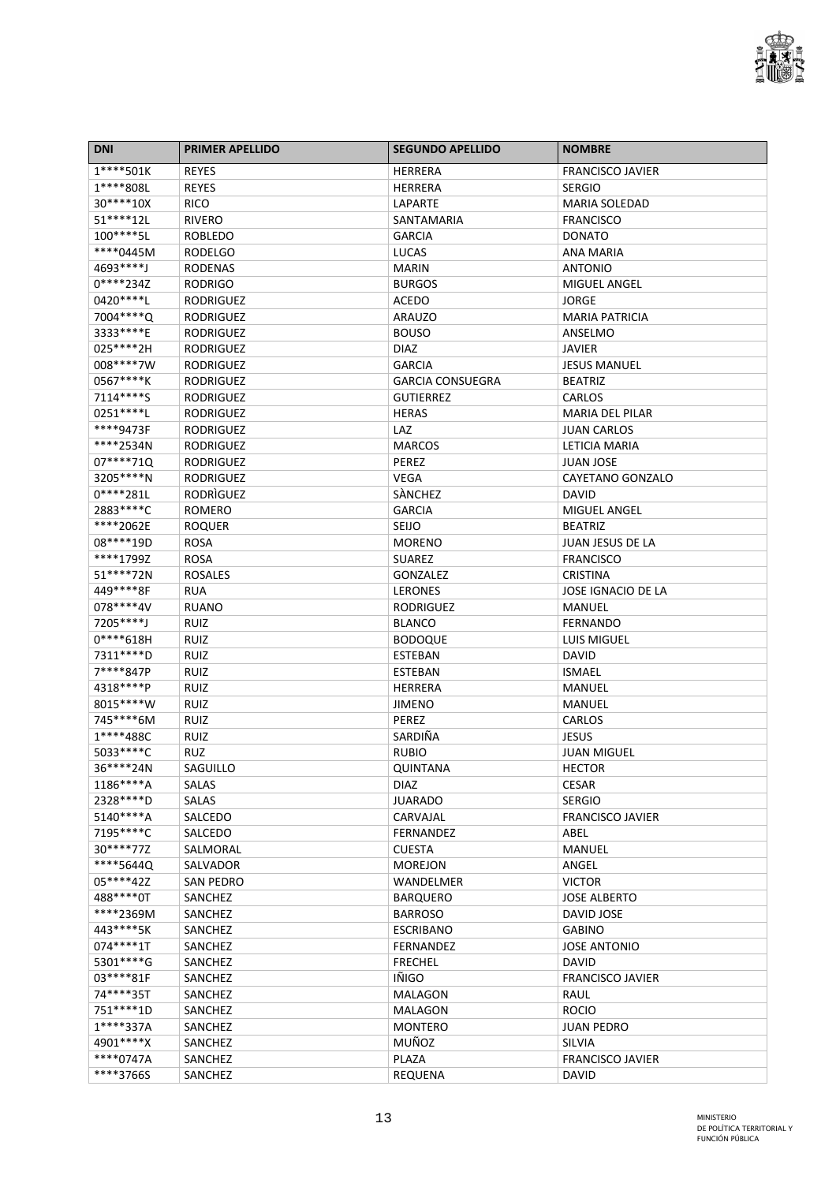

| <b>DNI</b>               | <b>PRIMER APELLIDO</b>     | <b>SEGUNDO APELLIDO</b>         | <b>NOMBRE</b>                       |
|--------------------------|----------------------------|---------------------------------|-------------------------------------|
| $1***501K$               | <b>REYES</b>               | <b>HERRERA</b>                  | <b>FRANCISCO JAVIER</b>             |
| 1****808L                | <b>REYES</b>               | <b>HERRERA</b>                  | <b>SERGIO</b>                       |
| 30****10X                | <b>RICO</b>                | LAPARTE                         | <b>MARIA SOLEDAD</b>                |
| 51****12L                | <b>RIVERO</b>              | SANTAMARIA                      | <b>FRANCISCO</b>                    |
| 100****5L                | <b>ROBLEDO</b>             | <b>GARCIA</b>                   | <b>DONATO</b>                       |
| ****0445M                | <b>RODELGO</b>             | LUCAS                           | ANA MARIA                           |
| 4693****J                | <b>RODENAS</b>             | <b>MARIN</b>                    | <b>ANTONIO</b>                      |
| $0****234Z$              | <b>RODRIGO</b>             | <b>BURGOS</b>                   | <b>MIGUEL ANGEL</b>                 |
| 0420****L                | <b>RODRIGUEZ</b>           | <b>ACEDO</b>                    | <b>JORGE</b>                        |
| 7004****Q                | <b>RODRIGUEZ</b>           | <b>ARAUZO</b>                   | <b>MARIA PATRICIA</b>               |
| 3333****E                | <b>RODRIGUEZ</b>           | <b>BOUSO</b>                    | ANSELMO                             |
| 025 **** 2H              | <b>RODRIGUEZ</b>           | DIAZ                            | <b>JAVIER</b>                       |
| 008****7W                | <b>RODRIGUEZ</b>           | <b>GARCIA</b>                   | <b>JESUS MANUEL</b>                 |
| 0567****K                | <b>RODRIGUEZ</b>           | <b>GARCIA CONSUEGRA</b>         | <b>BEATRIZ</b>                      |
| 7114****S                | <b>RODRIGUEZ</b>           | <b>GUTIERREZ</b>                | CARLOS                              |
| 0251 **** L              | <b>RODRIGUEZ</b>           | <b>HERAS</b>                    | <b>MARIA DEL PILAR</b>              |
| ****9473F                | <b>RODRIGUEZ</b>           | LAZ                             | <b>JUAN CARLOS</b>                  |
| ****2534N                | <b>RODRIGUEZ</b>           | <b>MARCOS</b>                   | LETICIA MARIA                       |
| 07****71Q                | <b>RODRIGUEZ</b>           | PEREZ                           | <b>JUAN JOSE</b>                    |
| 3205****N                | <b>RODRIGUEZ</b>           | <b>VEGA</b>                     | CAYETANO GONZALO                    |
| $0****281L$              | RODRIGUEZ                  | SANCHEZ                         | <b>DAVID</b>                        |
| 2883 **** C              | <b>ROMERO</b>              | <b>GARCIA</b>                   | <b>MIGUEL ANGEL</b>                 |
| ****2062E                | <b>ROQUER</b>              | SEIJO                           | <b>BEATRIZ</b>                      |
| 08****19D                | <b>ROSA</b>                | <b>MORENO</b>                   | JUAN JESUS DE LA                    |
| ****1799Z                | <b>ROSA</b>                | <b>SUAREZ</b>                   | <b>FRANCISCO</b>                    |
| 51****72N                | <b>ROSALES</b>             |                                 | <b>CRISTINA</b>                     |
| 449****8F                | <b>RUA</b>                 | GONZALEZ<br><b>LERONES</b>      | JOSE IGNACIO DE LA                  |
| 078 **** 4V              |                            | <b>RODRIGUEZ</b>                |                                     |
| 7205****J                | <b>RUANO</b>               |                                 | MANUEL<br><b>FERNANDO</b>           |
| $0****618H$              | <b>RUIZ</b><br><b>RUIZ</b> | <b>BLANCO</b><br><b>BODOQUE</b> | LUIS MIGUEL                         |
| 7311****D                | <b>RUIZ</b>                | <b>ESTEBAN</b>                  | DAVID                               |
| 7****847P                | <b>RUIZ</b>                | <b>ESTEBAN</b>                  | <b>ISMAEL</b>                       |
| 4318****P                | RUIZ                       | <b>HERRERA</b>                  | MANUEL                              |
| 8015 **** W              | <b>RUIZ</b>                |                                 | MANUEL                              |
| 745****6M                |                            | <b>JIMENO</b>                   |                                     |
| $1***488C$               | <b>RUIZ</b>                | PEREZ<br>SARDIÑA                | CARLOS                              |
| 5033 **** C              | <b>RUIZ</b>                |                                 | <b>JESUS</b>                        |
| 36****24N                | <b>RUZ</b><br>SAGUILLO     | <b>RUBIO</b><br>QUINTANA        | <b>JUAN MIGUEL</b><br><b>HECTOR</b> |
| 1186****A                |                            |                                 | <b>CESAR</b>                        |
| 2328 **** D              | SALAS<br>SALAS             | DIAZ<br><b>JUARADO</b>          | <b>SERGIO</b>                       |
| 5140****A                |                            |                                 | <b>FRANCISCO JAVIER</b>             |
|                          | SALCEDO                    | CARVAJAL                        |                                     |
| 7195****C                | SALCEDO                    | FERNANDEZ                       | ABEL                                |
| 30****77Z                | SALMORAL                   | <b>CUESTA</b>                   | MANUEL                              |
| ****5644Q<br>$05****42Z$ | SALVADOR                   | <b>MOREJON</b>                  | ANGEL                               |
|                          | <b>SAN PEDRO</b>           | WANDELMER                       | <b>VICTOR</b>                       |
| 488****0T                | SANCHEZ                    | <b>BARQUERO</b>                 | <b>JOSE ALBERTO</b>                 |
| ****2369M                | SANCHEZ                    | <b>BARROSO</b>                  | DAVID JOSE                          |
| 443****5K                | SANCHEZ                    | <b>ESCRIBANO</b>                | <b>GABINO</b>                       |
| 074****1T                | SANCHEZ                    | <b>FERNANDEZ</b>                | <b>JOSE ANTONIO</b>                 |
| 5301****G                | SANCHEZ                    | <b>FRECHEL</b>                  | <b>DAVID</b>                        |
| 03 **** 81F              | SANCHEZ                    | IÑIGO                           | <b>FRANCISCO JAVIER</b>             |
| 74****35T                | SANCHEZ                    | <b>MALAGON</b>                  | RAUL                                |
| 751 **** 1D              | SANCHEZ                    | <b>MALAGON</b>                  | <b>ROCIO</b>                        |
| $1****337A$              | SANCHEZ                    | <b>MONTERO</b>                  | <b>JUAN PEDRO</b>                   |
| 4901****X                | SANCHEZ                    | MUÑOZ                           | <b>SILVIA</b>                       |
| ****0747A                | SANCHEZ                    | PLAZA                           | <b>FRANCISCO JAVIER</b>             |
| ****3766S                | SANCHEZ                    | <b>REQUENA</b>                  | <b>DAVID</b>                        |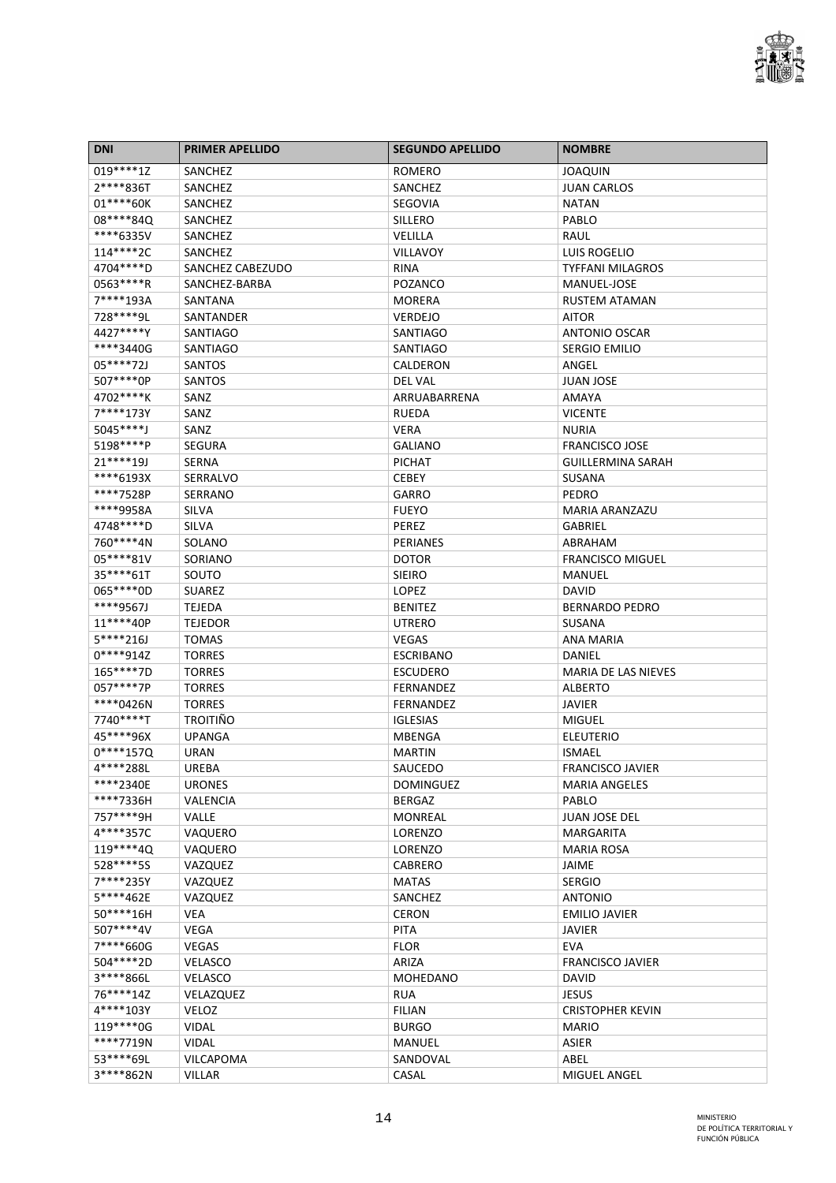

| <b>DNI</b>             | <b>PRIMER APELLIDO</b> | <b>SEGUNDO APELLIDO</b>   | <b>NOMBRE</b>              |
|------------------------|------------------------|---------------------------|----------------------------|
| 019 **** 1Z            | SANCHEZ                | ROMERO                    | JOAQUIN                    |
| 2****836T              | SANCHEZ                | SANCHEZ                   | <b>JUAN CARLOS</b>         |
| 01 **** 60K            | SANCHEZ                | SEGOVIA                   | <b>NATAN</b>               |
| 08****840              | SANCHEZ                | <b>SILLERO</b>            | PABLO                      |
| ****6335V              | SANCHEZ                | VELILLA                   | RAUL                       |
| 114****2C              | SANCHEZ                | <b>VILLAVOY</b>           | LUIS ROGELIO               |
| 4704 **** D            | SANCHEZ CABEZUDO       | <b>RINA</b>               | <b>TYFFANI MILAGROS</b>    |
| 0563****R              | SANCHEZ-BARBA          | POZANCO                   | MANUEL-JOSE                |
| 7****193A              | SANTANA                | <b>MORERA</b>             | <b>RUSTEM ATAMAN</b>       |
| 728 **** 9L            | SANTANDER              | <b>VERDEJO</b>            | <b>AITOR</b>               |
| 4427****Y              | <b>SANTIAGO</b>        | <b>SANTIAGO</b>           | <b>ANTONIO OSCAR</b>       |
| ****3440G              | <b>SANTIAGO</b>        | <b>SANTIAGO</b>           | <b>SERGIO EMILIO</b>       |
| 05****72J              | SANTOS                 | CALDERON                  | ANGEL                      |
| 507****0P              | <b>SANTOS</b>          | <b>DEL VAL</b>            | <b>JUAN JOSE</b>           |
| 4702****K              | SANZ                   | ARRUABARRENA              | AMAYA                      |
| 7****173Y              | SANZ                   | <b>RUEDA</b>              | <b>VICENTE</b>             |
| 5045****J              | SANZ                   | <b>VERA</b>               | <b>NURIA</b>               |
| 5198****P              | <b>SEGURA</b>          | <b>GALIANO</b>            | <b>FRANCISCO JOSE</b>      |
| $21***19J$             | <b>SERNA</b>           | <b>PICHAT</b>             | <b>GUILLERMINA SARAH</b>   |
| ****6193X              | <b>SERRALVO</b>        | <b>CEBEY</b>              | <b>SUSANA</b>              |
| ****7528P              | <b>SERRANO</b>         | <b>GARRO</b>              | <b>PEDRO</b>               |
| ****9958A              | SILVA                  | <b>FUEYO</b>              | <b>MARIA ARANZAZU</b>      |
| 4748****D              | <b>SILVA</b>           | <b>PEREZ</b>              | <b>GABRIEL</b>             |
| 760****4N              | SOLANO                 | <b>PERIANES</b>           | ABRAHAM                    |
| 05****81V              | SORIANO                | <b>DOTOR</b>              | <b>FRANCISCO MIGUEL</b>    |
| 35****61T              | SOUTO                  | <b>SIEIRO</b>             | MANUEL                     |
| 065****0D              | <b>SUAREZ</b>          | LOPEZ                     | DAVID                      |
| ****9567J              | <b>TEJEDA</b>          | <b>BENITEZ</b>            | <b>BERNARDO PEDRO</b>      |
| 11****40P              | <b>TEJEDOR</b>         | <b>UTRERO</b>             | <b>SUSANA</b>              |
| 5****216J              | <b>TOMAS</b>           | <b>VEGAS</b>              | ANA MARIA                  |
| 0****914Z              | <b>TORRES</b>          | <b>ESCRIBANO</b>          | DANIEL                     |
| 165****7D              | <b>TORRES</b>          | <b>ESCUDERO</b>           | <b>MARIA DE LAS NIEVES</b> |
| 057****7P              | <b>TORRES</b>          | <b>FERNANDEZ</b>          | <b>ALBERTO</b>             |
| ****0426N              | <b>TORRES</b>          | <b>FERNANDEZ</b>          | JAVIER                     |
| 7740****T              | <b>TROITIÑO</b>        | <b>IGLESIAS</b>           | <b>MIGUEL</b>              |
| 45****96X              | <b>UPANGA</b>          | MBENGA                    | <b>ELEUTERIO</b>           |
| $0****157Q$            | URAN                   | <b>MARTIN</b>             | <b>ISMAEL</b>              |
| 4****288L              | UREBA                  | SAUCEDO                   | <b>FRANCISCO JAVIER</b>    |
| ****2340E              | <b>URONES</b>          | <b>DOMINGUEZ</b>          | <b>MARIA ANGELES</b>       |
| ****7336H              | <b>VALENCIA</b>        | <b>BERGAZ</b>             | PABLO                      |
| 757****9H              | VALLE                  | <b>MONREAL</b>            | JUAN JOSE DEL              |
| 4****357C              | VAQUERO                | LORENZO                   | MARGARITA                  |
| 119****40              |                        |                           |                            |
| 528 **** 5S            | VAQUERO<br>VAZQUEZ     | LORENZO<br><b>CABRERO</b> | <b>MARIA ROSA</b><br>JAIME |
| 7****235Y              |                        | <b>MATAS</b>              | <b>SERGIO</b>              |
| 5****462E              | VAZQUEZ                |                           |                            |
| 50****16H              | VAZQUEZ                | SANCHEZ<br><b>CERON</b>   | <b>ANTONIO</b>             |
|                        | <b>VEA</b>             |                           | <b>EMILIO JAVIER</b>       |
| 507****4V<br>7****660G | <b>VEGA</b>            | <b>PITA</b>               | <b>JAVIER</b>              |
|                        | <b>VEGAS</b>           | <b>FLOR</b>               | <b>EVA</b>                 |
| 504****2D              | <b>VELASCO</b>         | ARIZA                     | <b>FRANCISCO JAVIER</b>    |
| 3****866L              | <b>VELASCO</b>         | <b>MOHEDANO</b>           | <b>DAVID</b>               |
| 76****14Z              | VELAZQUEZ              | <b>RUA</b>                | <b>JESUS</b>               |
| 4****103Y              | VELOZ                  | <b>FILIAN</b>             | <b>CRISTOPHER KEVIN</b>    |
| 119****0G              | <b>VIDAL</b>           | <b>BURGO</b>              | <b>MARIO</b>               |
| ****7719N              | <b>VIDAL</b>           | MANUEL                    | <b>ASIER</b>               |
| 53****69L              | <b>VILCAPOMA</b>       | SANDOVAL                  | ABEL                       |
| 3****862N              | <b>VILLAR</b>          | CASAL                     | MIGUEL ANGEL               |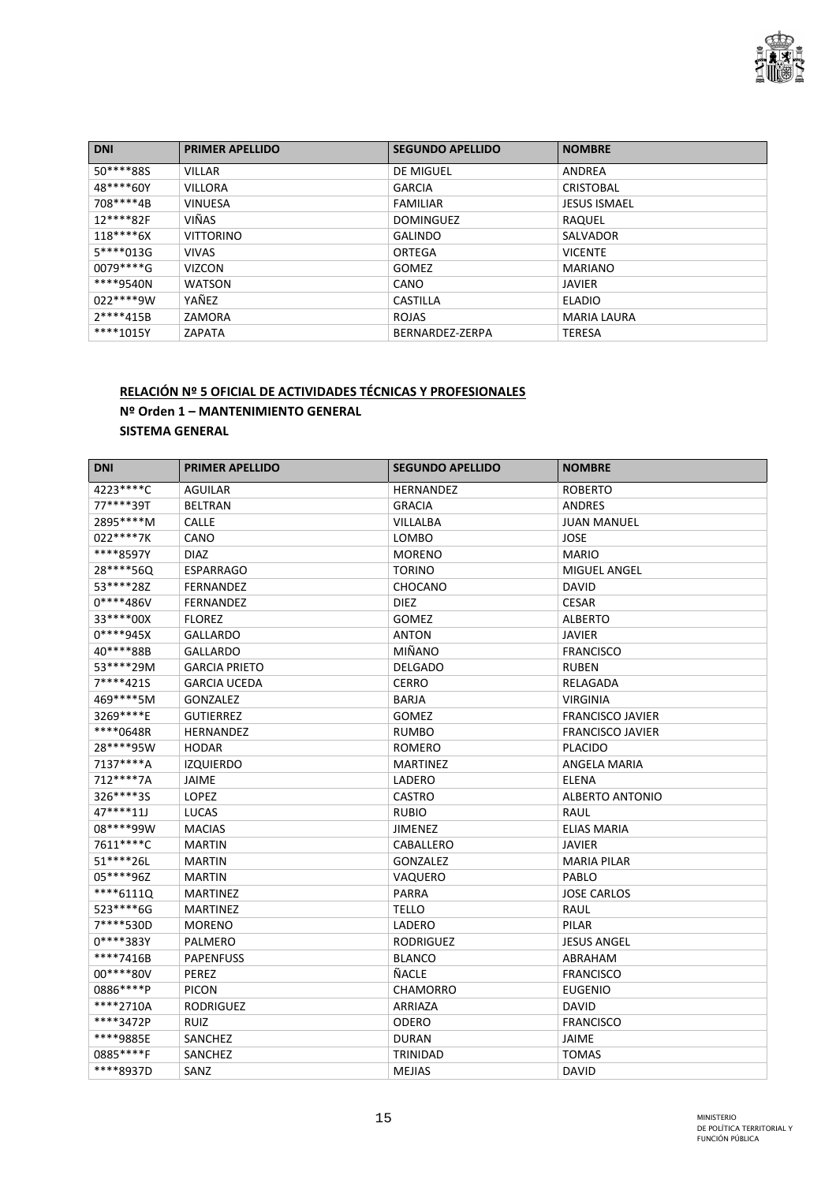

| <b>DNI</b>  | <b>PRIMER APELLIDO</b> | <b>SEGUNDO APELLIDO</b> | <b>NOMBRE</b>       |
|-------------|------------------------|-------------------------|---------------------|
| 50****88S   | <b>VILLAR</b>          | DE MIGUEL               | ANDREA              |
| 48****60Y   | <b>VILLORA</b>         | <b>GARCIA</b>           | <b>CRISTOBAL</b>    |
| 708****4B   | <b>VINUESA</b>         | <b>FAMILIAR</b>         | <b>JESUS ISMAEL</b> |
| 12****82F   | VIÑAS                  | <b>DOMINGUEZ</b>        | RAQUEL              |
| $118***6X$  | <b>VITTORINO</b>       | <b>GALINDO</b>          | SALVADOR            |
| 5****013G   | <b>VIVAS</b>           | ORTEGA                  | <b>VICENTE</b>      |
| $0079***G$  | <b>VIZCON</b>          | <b>GOMEZ</b>            | <b>MARIANO</b>      |
| ****9540N   | <b>WATSON</b>          | CANO                    | JAVIER              |
| $022****9W$ | YAÑEZ                  | <b>CASTILLA</b>         | <b>ELADIO</b>       |
| 2****415B   | ZAMORA                 | <b>ROJAS</b>            | <b>MARIA LAURA</b>  |
| ****1015Y   | ZAPATA                 | BERNARDEZ-ZERPA         | <b>TERESA</b>       |

#### **RELACIÓN Nº 5 OFICIAL DE ACTIVIDADES TÉCNICAS Y PROFESIONALES Nº Orden 1 – MANTENIMIENTO GENERAL SISTEMA GENERAL**

| <b>DNI</b>    | <b>PRIMER APELLIDO</b> | <b>SEGUNDO APELLIDO</b> | <b>NOMBRE</b>           |
|---------------|------------------------|-------------------------|-------------------------|
| 4223 **** C   | <b>AGUILAR</b>         | <b>HERNANDEZ</b>        | <b>ROBERTO</b>          |
| 77****39T     | <b>BELTRAN</b>         | <b>GRACIA</b>           | ANDRES                  |
| 2895****M     | <b>CALLE</b>           | VILLALBA                | <b>JUAN MANUEL</b>      |
| 022****7K     | CANO                   | LOMBO                   | <b>JOSE</b>             |
| ****8597Y     | <b>DIAZ</b>            | <b>MORENO</b>           | <b>MARIO</b>            |
| 28****56Q     | <b>ESPARRAGO</b>       | <b>TORINO</b>           | <b>MIGUEL ANGEL</b>     |
| 53****28Z     | <b>FERNANDEZ</b>       | CHOCANO                 | <b>DAVID</b>            |
| $0****486V$   | <b>FERNANDEZ</b>       | <b>DIEZ</b>             | <b>CESAR</b>            |
| 33 **** * 00X | <b>FLOREZ</b>          | <b>GOMEZ</b>            | <b>ALBERTO</b>          |
| $0***945X$    | <b>GALLARDO</b>        | ANTON                   | <b>JAVIER</b>           |
| 40****88B     | <b>GALLARDO</b>        | <b>MIÑANO</b>           | <b>FRANCISCO</b>        |
| 53****29M     | <b>GARCIA PRIETO</b>   | <b>DELGADO</b>          | <b>RUBEN</b>            |
| 7****421S     | <b>GARCIA UCEDA</b>    | <b>CERRO</b>            | RELAGADA                |
| 469****5M     | <b>GONZALEZ</b>        | BARJA                   | <b>VIRGINIA</b>         |
| 3269****E     | <b>GUTIERREZ</b>       | <b>GOMEZ</b>            | <b>FRANCISCO JAVIER</b> |
| ****0648R     | <b>HERNANDEZ</b>       | <b>RUMBO</b>            | <b>FRANCISCO JAVIER</b> |
| 28****95W     | <b>HODAR</b>           | <b>ROMERO</b>           | <b>PLACIDO</b>          |
| 7137****A     | <b>IZQUIERDO</b>       | <b>MARTINEZ</b>         | ANGELA MARIA            |
| 712****7A     | JAIME                  | LADERO                  | <b>ELENA</b>            |
| 326****3S     | <b>LOPEZ</b>           | <b>CASTRO</b>           | <b>ALBERTO ANTONIO</b>  |
| 47****11J     | <b>LUCAS</b>           | <b>RUBIO</b>            | <b>RAUL</b>             |
| 08****99W     | <b>MACIAS</b>          | <b>JIMENEZ</b>          | <b>ELIAS MARIA</b>      |
| 7611****C     | <b>MARTIN</b>          | CABALLERO               | <b>JAVIER</b>           |
| 51 **** 26L   | <b>MARTIN</b>          | <b>GONZALEZ</b>         | <b>MARIA PILAR</b>      |
| 05****96Z     | <b>MARTIN</b>          | VAQUERO                 | PABLO                   |
| $***6111Q$    | <b>MARTINEZ</b>        | <b>PARRA</b>            | <b>JOSE CARLOS</b>      |
| 523 **** 6G   | <b>MARTINEZ</b>        | <b>TELLO</b>            | RAUL                    |
| 7****530D     | <b>MORENO</b>          | LADERO                  | PILAR                   |
| 0****383Y     | PALMERO                | <b>RODRIGUEZ</b>        | <b>JESUS ANGEL</b>      |
| ****7416B     | <b>PAPENFUSS</b>       | <b>BLANCO</b>           | ABRAHAM                 |
| 00 **** 80 V  | PEREZ                  | ÑACLE                   | <b>FRANCISCO</b>        |
| 0886****P     | <b>PICON</b>           | <b>CHAMORRO</b>         | <b>EUGENIO</b>          |
| ****2710A     | <b>RODRIGUEZ</b>       | ARRIAZA                 | <b>DAVID</b>            |
| ****3472P     | <b>RUIZ</b>            | ODERO                   | <b>FRANCISCO</b>        |
| ****9885E     | SANCHEZ                | <b>DURAN</b>            | <b>JAIME</b>            |
| 0885****F     | SANCHEZ                | TRINIDAD                | <b>TOMAS</b>            |
| ****8937D     | SANZ                   | <b>MEJIAS</b>           | <b>DAVID</b>            |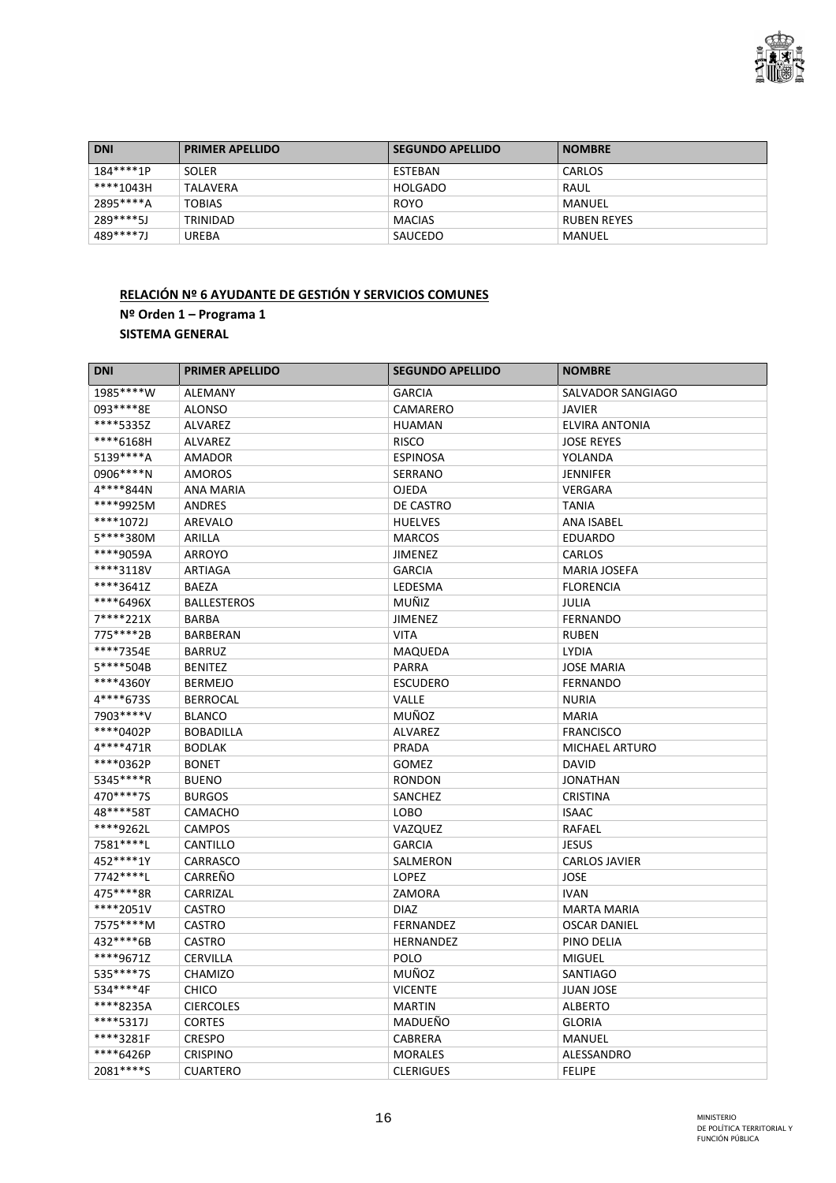

| <b>DNI</b> | <b>PRIMER APELLIDO</b> | <b>SEGUNDO APELLIDO</b> | <b>NOMBRE</b>      |
|------------|------------------------|-------------------------|--------------------|
| 184****1P  | <b>SOLER</b>           | ESTEBAN                 | CARLOS             |
| ****1043H  | <b>TALAVERA</b>        | HOLGADO                 | RAUL               |
| 2895****A  | <b>TOBIAS</b>          | <b>ROYO</b>             | MANUEL             |
| 289****5J  | TRINIDAD               | <b>MACIAS</b>           | <b>RUBEN REYES</b> |
| 489****7J  | UREBA                  | SAUCEDO                 | MANUEL             |

# **RELACIÓN Nº 6 AYUDANTE DE GESTIÓN Y SERVICIOS COMUNES Nº Orden 1 – Programa 1 SISTEMA GENERAL**

| <b>DNI</b>  | <b>PRIMER APELLIDO</b> | <b>SEGUNDO APELLIDO</b> | <b>NOMBRE</b>         |
|-------------|------------------------|-------------------------|-----------------------|
| 1985****W   | <b>ALEMANY</b>         | <b>GARCIA</b>           | SALVADOR SANGIAGO     |
| 093 **** 8E | <b>ALONSO</b>          | CAMARERO                | <b>JAVIER</b>         |
| ****5335Z   | <b>ALVAREZ</b>         | <b>HUAMAN</b>           | <b>ELVIRA ANTONIA</b> |
| ****6168H   | ALVAREZ                | <b>RISCO</b>            | <b>JOSE REYES</b>     |
| 5139****A   | <b>AMADOR</b>          | <b>ESPINOSA</b>         | YOLANDA               |
| 0906****N   | <b>AMOROS</b>          | <b>SERRANO</b>          | <b>JENNIFER</b>       |
| 4****844N   | <b>ANA MARIA</b>       | <b>OJEDA</b>            | VERGARA               |
| ****9925M   | <b>ANDRES</b>          | DE CASTRO               | <b>TANIA</b>          |
| ****1072J   | <b>AREVALO</b>         | <b>HUELVES</b>          | <b>ANA ISABEL</b>     |
| 5****380M   | ARILLA                 | <b>MARCOS</b>           | <b>EDUARDO</b>        |
| ****9059A   | ARROYO                 | <b>JIMENEZ</b>          | CARLOS                |
| ****3118V   | <b>ARTIAGA</b>         | <b>GARCIA</b>           | <b>MARIA JOSEFA</b>   |
| ****3641Z   | <b>BAEZA</b>           | LEDESMA                 | <b>FLORENCIA</b>      |
| ****6496X   | <b>BALLESTEROS</b>     | MUÑIZ                   | <b>JULIA</b>          |
| 7****221X   | <b>BARBA</b>           | JIMENEZ                 | <b>FERNANDO</b>       |
| 775****2B   | <b>BARBERAN</b>        | <b>VITA</b>             | <b>RUBEN</b>          |
| ****7354E   | <b>BARRUZ</b>          | <b>MAQUEDA</b>          | <b>LYDIA</b>          |
| 5****504B   | <b>BENITEZ</b>         | PARRA                   | <b>JOSE MARIA</b>     |
| ****4360Y   | <b>BERMEJO</b>         | <b>ESCUDERO</b>         | <b>FERNANDO</b>       |
| 4****6735   | <b>BERROCAL</b>        | VALLE                   | <b>NURIA</b>          |
| 7903 **** V | <b>BLANCO</b>          | MUÑOZ                   | <b>MARIA</b>          |
| ****0402P   | <b>BOBADILLA</b>       | <b>ALVAREZ</b>          | <b>FRANCISCO</b>      |
| 4****471R   | <b>BODLAK</b>          | PRADA                   | <b>MICHAEL ARTURO</b> |
| ****0362P   | <b>BONET</b>           | <b>GOMEZ</b>            | <b>DAVID</b>          |
| 5345****R   | <b>BUENO</b>           | <b>RONDON</b>           | <b>JONATHAN</b>       |
| 470****7S   | <b>BURGOS</b>          | SANCHEZ                 | <b>CRISTINA</b>       |
| 48****58T   | CAMACHO                | LOBO                    | <b>ISAAC</b>          |
| ****9262L   | <b>CAMPOS</b>          | VAZQUEZ                 | RAFAEL                |
| 7581 **** L | CANTILLO               | <b>GARCIA</b>           | <b>JESUS</b>          |
| 452 **** 1Y | CARRASCO               | SALMERON                | <b>CARLOS JAVIER</b>  |
| 7742 **** L | CARREÑO                | LOPEZ                   | <b>JOSE</b>           |
| 475****8R   | CARRIZAL               | ZAMORA                  | <b>IVAN</b>           |
| ****2051V   | <b>CASTRO</b>          | <b>DIAZ</b>             | <b>MARTA MARIA</b>    |
| 7575****M   | <b>CASTRO</b>          | <b>FERNANDEZ</b>        | <b>OSCAR DANIEL</b>   |
| 432****6B   | CASTRO                 | HERNANDEZ               | PINO DELIA            |
| ****9671Z   | <b>CERVILLA</b>        | POLO                    | <b>MIGUEL</b>         |
| 535****7S   | <b>CHAMIZO</b>         | MUÑOZ                   | <b>SANTIAGO</b>       |
| 534****4F   | <b>CHICO</b>           | <b>VICENTE</b>          | <b>JUAN JOSE</b>      |
| ****8235A   | <b>CIERCOLES</b>       | <b>MARTIN</b>           | <b>ALBERTO</b>        |
| ****5317J   | <b>CORTES</b>          | MADUEÑO                 | <b>GLORIA</b>         |
| ****3281F   | <b>CRESPO</b>          | <b>CABRERA</b>          | <b>MANUEL</b>         |
| ****6426P   | <b>CRISPINO</b>        | <b>MORALES</b>          | ALESSANDRO            |
| 2081****S   | <b>CUARTERO</b>        | <b>CLERIGUES</b>        | <b>FELIPE</b>         |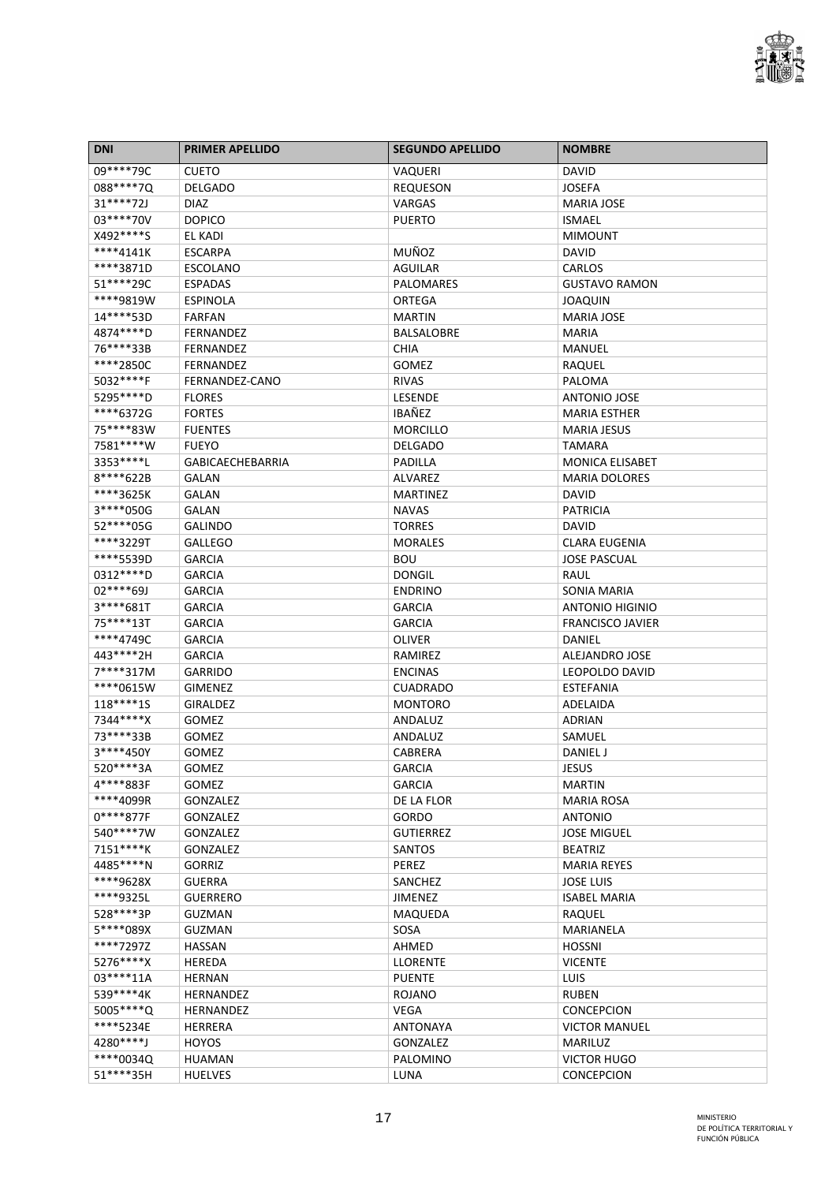

| <b>DNI</b>   | <b>PRIMER APELLIDO</b>  | <b>SEGUNDO APELLIDO</b>         | <b>NOMBRE</b>           |
|--------------|-------------------------|---------------------------------|-------------------------|
| 09****79C    | <b>CUETO</b>            | VAQUERI                         | DAVID                   |
| 088****70    | <b>DELGADO</b>          | <b>REQUESON</b>                 | <b>JOSEFA</b>           |
| $31***72J$   | <b>DIAZ</b>             | VARGAS                          | <b>MARIA JOSE</b>       |
| 03 **** 70 V | <b>DOPICO</b>           | <b>PUERTO</b>                   | <b>ISMAEL</b>           |
| X492 **** S  | EL KADI                 |                                 | <b>MIMOUNT</b>          |
| ****4141K    | <b>ESCARPA</b>          | <b>MUÑOZ</b>                    | DAVID                   |
| ****3871D    | <b>ESCOLANO</b>         | AGUILAR                         | CARLOS                  |
| 51 **** 29C  | <b>ESPADAS</b>          | <b>PALOMARES</b>                | <b>GUSTAVO RAMON</b>    |
| ****9819W    | <b>ESPINOLA</b>         | ORTEGA                          | <b>JOAQUIN</b>          |
| 14****53D    | <b>FARFAN</b>           | <b>MARTIN</b>                   | <b>MARIA JOSE</b>       |
| 4874 **** D  | <b>FERNANDEZ</b>        | <b>BALSALOBRE</b>               | <b>MARIA</b>            |
| 76****33B    | FERNANDEZ               | <b>CHIA</b>                     | MANUEL                  |
| ****2850C    | <b>FERNANDEZ</b>        | <b>GOMEZ</b>                    | RAQUEL                  |
| 5032****F    | FERNANDEZ-CANO          | <b>RIVAS</b>                    | PALOMA                  |
| 5295 **** D  | <b>FLORES</b>           | <b>LESENDE</b>                  | <b>ANTONIO JOSE</b>     |
| ****6372G    | <b>FORTES</b>           | <b>IBAÑEZ</b>                   | <b>MARIA ESTHER</b>     |
| 75****83W    | <b>FUENTES</b>          | <b>MORCILLO</b>                 | <b>MARIA JESUS</b>      |
| 7581****W    | <b>FUEYO</b>            | <b>DELGADO</b>                  | TAMARA                  |
| 3353 **** L  | <b>GABICAECHEBARRIA</b> | PADILLA                         | <b>MONICA ELISABET</b>  |
| 8****622B    | <b>GALAN</b>            | <b>ALVAREZ</b>                  | <b>MARIA DOLORES</b>    |
| ****3625K    | <b>GALAN</b>            | <b>MARTINEZ</b>                 | <b>DAVID</b>            |
| 3****050G    | <b>GALAN</b>            | <b>NAVAS</b>                    | <b>PATRICIA</b>         |
| 52 **** 05G  | <b>GALINDO</b>          | <b>TORRES</b>                   | <b>DAVID</b>            |
| ****3229T    | <b>GALLEGO</b>          | <b>MORALES</b>                  | <b>CLARA EUGENIA</b>    |
| ****5539D    |                         |                                 |                         |
| 0312****D    | <b>GARCIA</b>           | <b>BOU</b>                      | <b>JOSE PASCUAL</b>     |
| 02****69J    | <b>GARCIA</b>           | <b>DONGIL</b><br><b>ENDRINO</b> | RAUL                    |
|              | <b>GARCIA</b>           |                                 | SONIA MARIA             |
| 3****681T    | <b>GARCIA</b>           | <b>GARCIA</b>                   | <b>ANTONIO HIGINIO</b>  |
| 75****13T    | <b>GARCIA</b>           | <b>GARCIA</b>                   | <b>FRANCISCO JAVIER</b> |
| ****4749C    | <b>GARCIA</b>           | <b>OLIVER</b>                   | DANIEL                  |
| 443****2H    | <b>GARCIA</b>           | RAMIREZ                         | ALEJANDRO JOSE          |
| 7****317M    | <b>GARRIDO</b>          | <b>ENCINAS</b>                  | LEOPOLDO DAVID          |
| ****0615W    | <b>GIMENEZ</b>          | <b>CUADRADO</b>                 | ESTEFANIA               |
| 118****1S    | <b>GIRALDEZ</b>         | <b>MONTORO</b>                  | ADELAIDA                |
| 7344****X    | <b>GOMEZ</b>            | ANDALUZ                         | <b>ADRIAN</b>           |
| 73****33B    | <b>GOMEZ</b>            | ANDALUZ                         | SAMUEL                  |
| 3****450Y    | <b>GOMEZ</b>            | CABRERA                         | DANIEL J                |
| 520****3A    | GOMEZ                   | <b>GARCIA</b>                   | JESUS                   |
| 4****883F    | <b>GOMEZ</b>            | <b>GARCIA</b>                   | <b>MARTIN</b>           |
| ****4099R    | <b>GONZALEZ</b>         | DE LA FLOR                      | <b>MARIA ROSA</b>       |
| $0****877F$  | <b>GONZALEZ</b>         | GORDO                           | <b>ANTONIO</b>          |
| 540****7W    | <b>GONZALEZ</b>         | <b>GUTIERREZ</b>                | <b>JOSE MIGUEL</b>      |
| 7151****K    | GONZALEZ                | <b>SANTOS</b>                   | <b>BEATRIZ</b>          |
| 4485 **** N  | <b>GORRIZ</b>           | <b>PEREZ</b>                    | <b>MARIA REYES</b>      |
| ****9628X    | <b>GUERRA</b>           | SANCHEZ                         | <b>JOSE LUIS</b>        |
| ****9325L    | <b>GUERRERO</b>         | <b>JIMENEZ</b>                  | <b>ISABEL MARIA</b>     |
| 528 **** 3P  | <b>GUZMAN</b>           | MAQUEDA                         | RAQUEL                  |
| 5****089X    | <b>GUZMAN</b>           | SOSA                            | MARIANELA               |
| ****7297Z    | <b>HASSAN</b>           | AHMED                           | <b>HOSSNI</b>           |
| 5276****X    | HEREDA                  | <b>LLORENTE</b>                 | <b>VICENTE</b>          |
| 03****11A    | <b>HERNAN</b>           | <b>PUENTE</b>                   | LUIS                    |
| 539****4K    | <b>HERNANDEZ</b>        | <b>ROJANO</b>                   | <b>RUBEN</b>            |
| 5005****Q    | <b>HERNANDEZ</b>        | <b>VEGA</b>                     | <b>CONCEPCION</b>       |
| ****5234E    | <b>HERRERA</b>          | <b>ANTONAYA</b>                 | <b>VICTOR MANUEL</b>    |
| 4280****J    | <b>HOYOS</b>            | GONZALEZ                        | <b>MARILUZ</b>          |
| ****0034Q    | <b>HUAMAN</b>           | PALOMINO                        | <b>VICTOR HUGO</b>      |
| 51 **** 35H  | <b>HUELVES</b>          | LUNA                            | <b>CONCEPCION</b>       |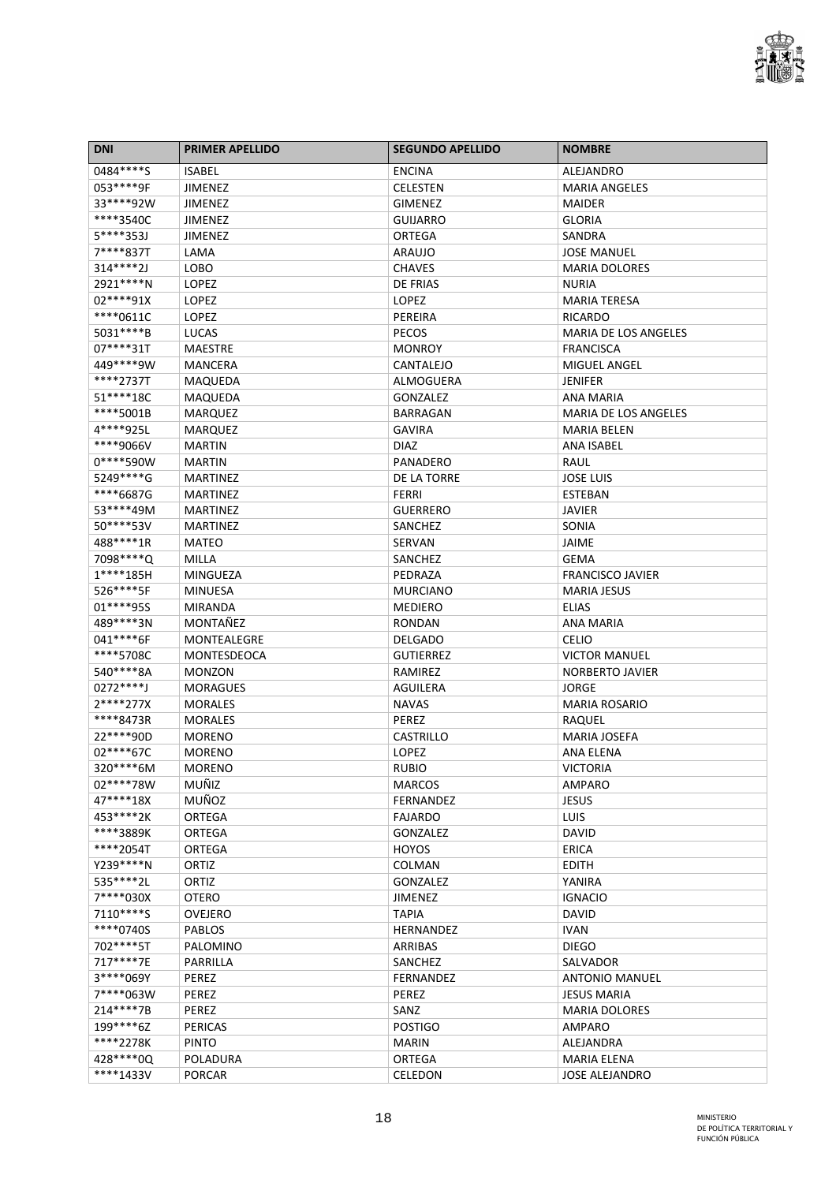

| <b>DNI</b>  | <b>PRIMER APELLIDO</b> | <b>SEGUNDO APELLIDO</b> | <b>NOMBRE</b>               |
|-------------|------------------------|-------------------------|-----------------------------|
| 0484****S   | <b>ISABEL</b>          | <b>ENCINA</b>           | <b>ALEJANDRO</b>            |
| 053 **** 9F | JIMENEZ                | <b>CELESTEN</b>         | <b>MARIA ANGELES</b>        |
| 33****92W   | JIMENEZ                | <b>GIMENEZ</b>          | <b>MAIDER</b>               |
| ****3540C   | <b>JIMENEZ</b>         | <b>GUIJARRO</b>         | <b>GLORIA</b>               |
| 5****353J   | <b>JIMENEZ</b>         | <b>ORTEGA</b>           | SANDRA                      |
| 7****837T   | LAMA                   | <b>ARAUJO</b>           | <b>JOSE MANUEL</b>          |
| 314****2J   | LOBO                   | <b>CHAVES</b>           | <b>MARIA DOLORES</b>        |
| 2921 **** N | LOPEZ                  | DE FRIAS                | <b>NURIA</b>                |
| 02****91X   | LOPEZ                  | LOPEZ                   | <b>MARIA TERESA</b>         |
| ****0611C   | LOPEZ                  | PEREIRA                 | RICARDO                     |
| 5031****B   | <b>LUCAS</b>           | <b>PECOS</b>            | <b>MARIA DE LOS ANGELES</b> |
| 07****31T   | <b>MAESTRE</b>         | <b>MONROY</b>           | <b>FRANCISCA</b>            |
| 449****9W   | MANCERA                | <b>CANTALEJO</b>        | <b>MIGUEL ANGEL</b>         |
| ****2737T   | MAQUEDA                | <b>ALMOGUERA</b>        | <b>JENIFER</b>              |
| 51 **** 18C | MAQUEDA                | <b>GONZALEZ</b>         | <b>ANA MARIA</b>            |
| ****5001B   | <b>MARQUEZ</b>         | <b>BARRAGAN</b>         | <b>MARIA DE LOS ANGELES</b> |
| 4****925L   | <b>MARQUEZ</b>         | <b>GAVIRA</b>           | <b>MARIA BELEN</b>          |
| ****9066V   | <b>MARTIN</b>          | <b>DIAZ</b>             | <b>ANA ISABEL</b>           |
| 0****590W   | <b>MARTIN</b>          | PANADERO                | RAUL                        |
| 5249 **** G | <b>MARTINEZ</b>        | DE LA TORRE             | <b>JOSE LUIS</b>            |
| ****6687G   | <b>MARTINEZ</b>        | <b>FERRI</b>            | <b>ESTEBAN</b>              |
| 53****49M   | <b>MARTINEZ</b>        | <b>GUERRERO</b>         | JAVIER                      |
| 50****53V   | <b>MARTINEZ</b>        | SANCHEZ                 | SONIA                       |
| 488****1R   | <b>MATEO</b>           | <b>SERVAN</b>           | JAIME                       |
| 7098 **** Q | MILLA                  | SANCHEZ                 | GEMA                        |
| $1****185H$ | MINGUEZA               | PEDRAZA                 | <b>FRANCISCO JAVIER</b>     |
| 526****5F   | <b>MINUESA</b>         | <b>MURCIANO</b>         | <b>MARIA JESUS</b>          |
| 01 **** 955 | <b>MIRANDA</b>         | <b>MEDIERO</b>          | <b>ELIAS</b>                |
| 489 **** 3N | MONTAÑEZ               | <b>RONDAN</b>           | ANA MARIA                   |
| 041****6F   | MONTEALEGRE            | <b>DELGADO</b>          | <b>CELIO</b>                |
| ****5708C   | <b>MONTESDEOCA</b>     | <b>GUTIERREZ</b>        | <b>VICTOR MANUEL</b>        |
| 540****8A   | <b>MONZON</b>          | RAMIREZ                 | <b>NORBERTO JAVIER</b>      |
| $0272***$   | <b>MORAGUES</b>        | <b>AGUILERA</b>         | JORGE                       |
| 2****277X   | <b>MORALES</b>         | <b>NAVAS</b>            | <b>MARIA ROSARIO</b>        |
| ****8473R   | <b>MORALES</b>         | <b>PEREZ</b>            | RAQUEL                      |
| 22****90D   | <b>MORENO</b>          | <b>CASTRILLO</b>        | <b>MARIA JOSEFA</b>         |
| 02****67C   | <b>MORENO</b>          | LOPEZ                   | ANA ELENA                   |
| 320****6M   | <b>MORENO</b>          | <b>RUBIO</b>            | <b>VICTORIA</b>             |
| 02****78W   | <b>MUÑIZ</b>           | <b>MARCOS</b>           | <b>AMPARO</b>               |
| 47****18X   | MUÑOZ                  | <b>FERNANDEZ</b>        | <b>JESUS</b>                |
| 453****2K   | <b>ORTEGA</b>          | <b>FAJARDO</b>          | <b>LUIS</b>                 |
| ****3889K   | <b>ORTEGA</b>          | <b>GONZALEZ</b>         | DAVID                       |
| ****2054T   | <b>ORTEGA</b>          | <b>HOYOS</b>            | <b>ERICA</b>                |
| Y239 **** N | ORTIZ                  | COLMAN                  | EDITH                       |
| 535 **** 2L | ORTIZ                  | GONZALEZ                | YANIRA                      |
| 7****030X   | <b>OTERO</b>           | <b>JIMENEZ</b>          | <b>IGNACIO</b>              |
| 7110****S   | <b>OVEJERO</b>         | <b>TAPIA</b>            | <b>DAVID</b>                |
| ****0740S   | <b>PABLOS</b>          | <b>HERNANDEZ</b>        | <b>IVAN</b>                 |
| 702****5T   | PALOMINO               | ARRIBAS                 | <b>DIEGO</b>                |
| 717****7E   | PARRILLA               | SANCHEZ                 | SALVADOR                    |
| 3****069Y   | PEREZ                  | <b>FERNANDEZ</b>        | <b>ANTONIO MANUEL</b>       |
| 7****063W   | PEREZ                  | PEREZ                   | <b>JESUS MARIA</b>          |
| 214****7B   | PEREZ                  | SANZ                    | <b>MARIA DOLORES</b>        |
| 199****6Z   | <b>PERICAS</b>         | <b>POSTIGO</b>          | AMPARO                      |
| ****2278K   | <b>PINTO</b>           |                         |                             |
| 428 **** 00 | <b>POLADURA</b>        | <b>MARIN</b><br>ORTEGA  | ALEJANDRA                   |
|             |                        |                         | <b>MARIA ELENA</b>          |
| ****1433V   | <b>PORCAR</b>          | <b>CELEDON</b>          | <b>JOSE ALEJANDRO</b>       |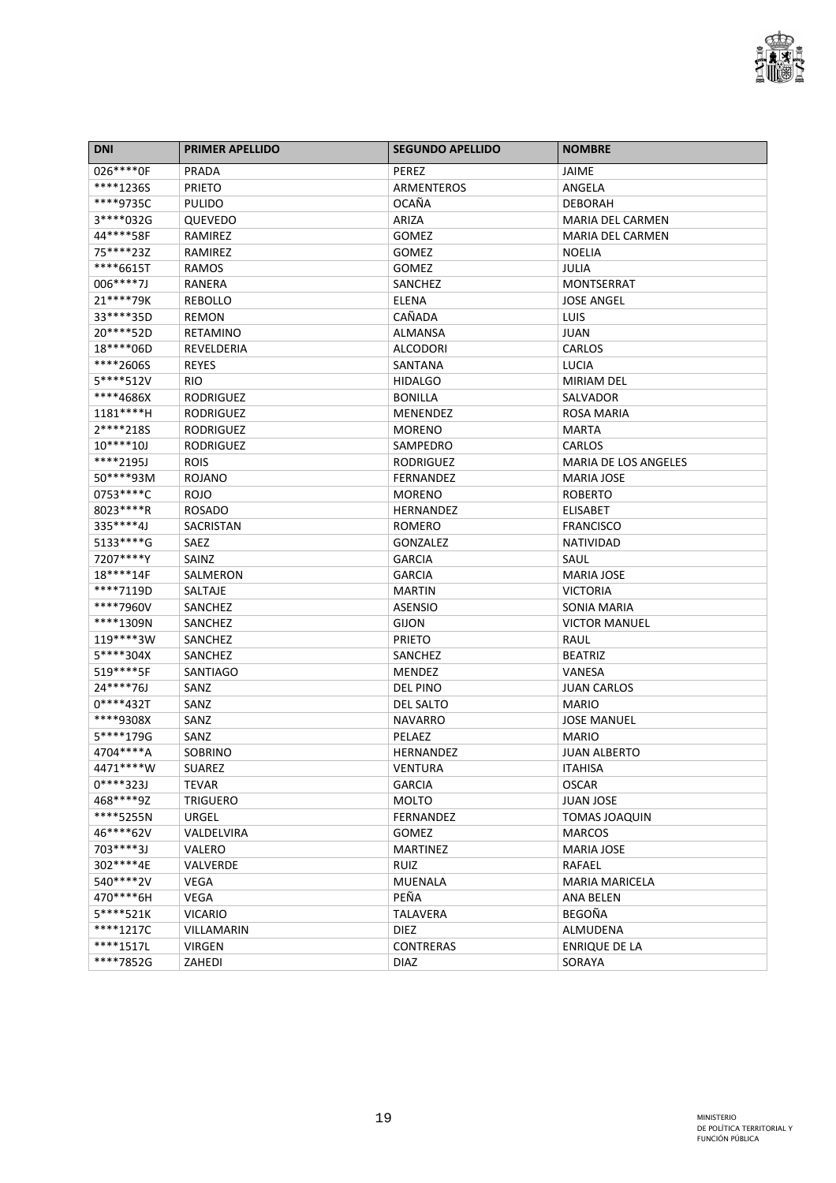

| <b>DNI</b>   | <b>PRIMER APELLIDO</b> | <b>SEGUNDO APELLIDO</b> | <b>NOMBRE</b>               |
|--------------|------------------------|-------------------------|-----------------------------|
| 026 **** OF  | PRADA                  | <b>PEREZ</b>            | JAIME                       |
| ****12365    | <b>PRIETO</b>          | ARMENTEROS              | ANGELA                      |
| ****9735C    | <b>PULIDO</b>          | <b>OCAÑA</b>            | <b>DEBORAH</b>              |
| 3****032G    | <b>QUEVEDO</b>         | ARIZA                   | MARIA DEL CARMEN            |
| 44****58F    | RAMIREZ                | <b>GOMEZ</b>            | <b>MARIA DEL CARMEN</b>     |
| 75****23Z    | RAMIREZ                | <b>GOMEZ</b>            | <b>NOELIA</b>               |
| ****6615T    | RAMOS                  | <b>GOMEZ</b>            | JULIA                       |
| 006****7J    | <b>RANERA</b>          | SANCHEZ                 | <b>MONTSERRAT</b>           |
| 21 **** 79K  | <b>REBOLLO</b>         | <b>ELENA</b>            | <b>JOSE ANGEL</b>           |
| 33 **** 35D  | <b>REMON</b>           | CAÑADA                  | LUIS                        |
| 20****52D    | <b>RETAMINO</b>        | <b>ALMANSA</b>          | JUAN                        |
| 18****06D    | REVELDERIA             | <b>ALCODORI</b>         | CARLOS                      |
| ****2606S    | <b>REYES</b>           | SANTANA                 | <b>LUCIA</b>                |
| 5****512V    | <b>RIO</b>             | <b>HIDALGO</b>          | <b>MIRIAM DEL</b>           |
| ****4686X    | <b>RODRIGUEZ</b>       | <b>BONILLA</b>          | <b>SALVADOR</b>             |
| 1181****H    | <b>RODRIGUEZ</b>       | <b>MENENDEZ</b>         | ROSA MARIA                  |
| 2****218S    | <b>RODRIGUEZ</b>       | <b>MORENO</b>           | <b>MARTA</b>                |
| $10****10J$  | <b>RODRIGUEZ</b>       | SAMPEDRO                | <b>CARLOS</b>               |
| ****2195J    | <b>ROIS</b>            | <b>RODRIGUEZ</b>        | <b>MARIA DE LOS ANGELES</b> |
| 50****93M    | <b>ROJANO</b>          | <b>FERNANDEZ</b>        | <b>MARIA JOSE</b>           |
| 0753 **** C  | <b>ROJO</b>            | <b>MORENO</b>           | <b>ROBERTO</b>              |
| 8023 ***** R | <b>ROSADO</b>          | HERNANDEZ               | <b>ELISABET</b>             |
| 335****4J    | <b>SACRISTAN</b>       | <b>ROMERO</b>           | <b>FRANCISCO</b>            |
| 5133 **** G  | SAEZ                   | GONZALEZ                | <b>NATIVIDAD</b>            |
| 7207****Y    | SAINZ                  | <b>GARCIA</b>           | SAUL                        |
| 18****14F    | SALMERON               | <b>GARCIA</b>           | <b>MARIA JOSE</b>           |
| ****7119D    | SALTAJE                | <b>MARTIN</b>           | <b>VICTORIA</b>             |
| ****7960V    | SANCHEZ                | <b>ASENSIO</b>          | SONIA MARIA                 |
| ****1309N    | SANCHEZ                | <b>GIJON</b>            | <b>VICTOR MANUEL</b>        |
| 119****3W    | SANCHEZ                | <b>PRIETO</b>           | RAUL                        |
| 5****304X    | SANCHEZ                | SANCHEZ                 | <b>BEATRIZ</b>              |
| 519 **** 5F  | <b>SANTIAGO</b>        | <b>MENDEZ</b>           | VANESA                      |
| 24****76J    | SANZ                   | <b>DEL PINO</b>         | <b>JUAN CARLOS</b>          |
| $0****432T$  | SANZ                   | <b>DEL SALTO</b>        | <b>MARIO</b>                |
| ****9308X    | SANZ                   | <b>NAVARRO</b>          | <b>JOSE MANUEL</b>          |
| 5****179G    | SANZ                   | PELAEZ                  | <b>MARIO</b>                |
| 4704****A    | SOBRINO                | HERNANDEZ               | <b>JUAN ALBERTO</b>         |
| 4471 **** W  | <b>SUAREZ</b>          | VENTURA                 | <b>ITAHISA</b>              |
| $0****323J$  | <b>TEVAR</b>           | <b>GARCIA</b>           | <b>OSCAR</b>                |
| 468****9Z    | <b>TRIGUERO</b>        | <b>MOLTO</b>            | <b>JUAN JOSE</b>            |
| ****5255N    | URGEL                  | FERNANDEZ               | <b>TOMAS JOAQUIN</b>        |
| 46****62V    | VALDELVIRA             | <b>GOMEZ</b>            | <b>MARCOS</b>               |
| 703****3J    | VALERO                 | <b>MARTINEZ</b>         | <b>MARIA JOSE</b>           |
| 302 **** 4E  | VALVERDE               | <b>RUIZ</b>             | RAFAEL                      |
| 540****2V    | VEGA                   | MUENALA                 | <b>MARIA MARICELA</b>       |
| 470****6H    | <b>VEGA</b>            | PEÑA                    | <b>ANA BELEN</b>            |
| $5***521K$   | <b>VICARIO</b>         | TALAVERA                | BEGOÑA                      |
| ****1217C    | VILLAMARIN             | <b>DIEZ</b>             | ALMUDENA                    |
| ****1517L    | <b>VIRGEN</b>          | <b>CONTRERAS</b>        | ENRIQUE DE LA               |
| ****7852G    | ZAHEDI                 | <b>DIAZ</b>             | SORAYA                      |